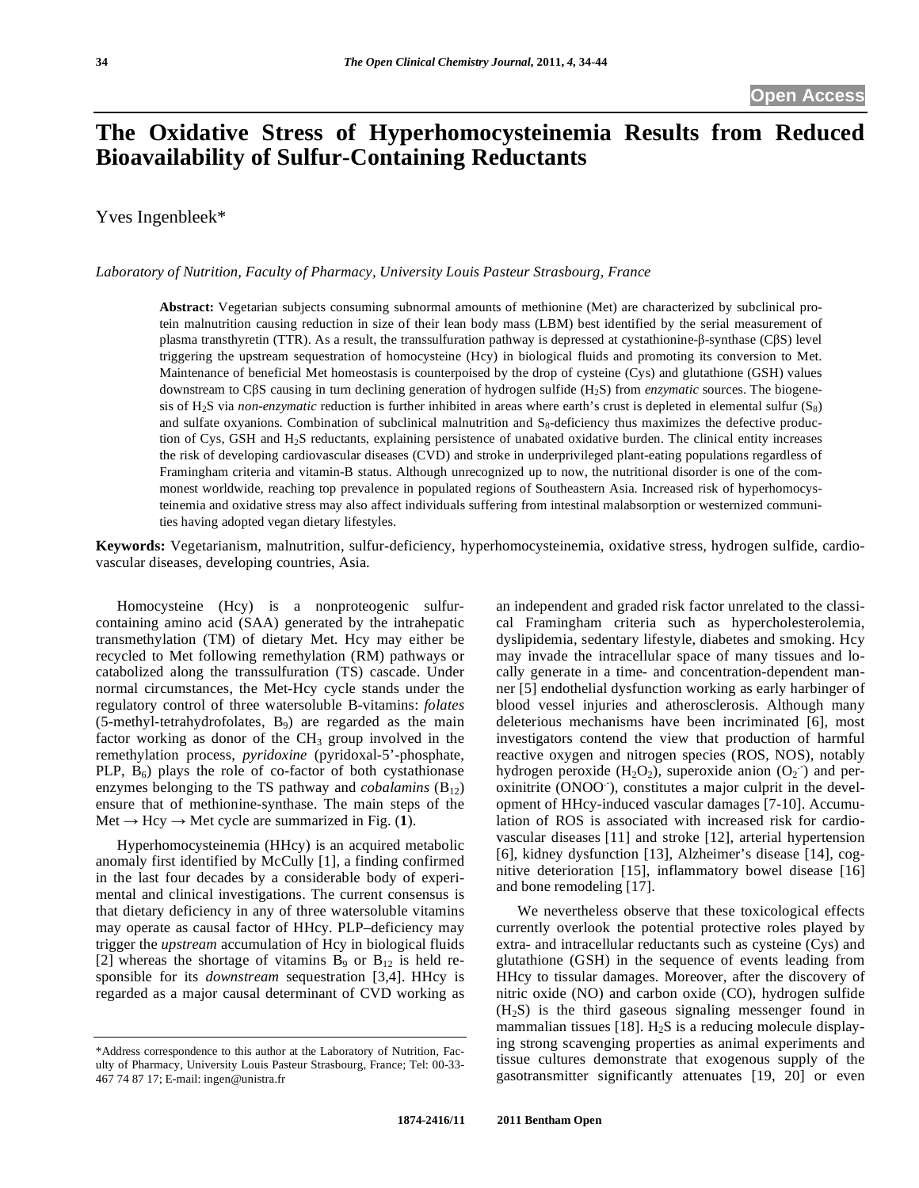# **The Oxidative Stress of Hyperhomocysteinemia Results from Reduced Bioavailability of Sulfur-Containing Reductants**

Yves Ingenbleek\*

*Laboratory of Nutrition, Faculty of Pharmacy, University Louis Pasteur Strasbourg, France* 

**Abstract:** Vegetarian subjects consuming subnormal amounts of methionine (Met) are characterized by subclinical protein malnutrition causing reduction in size of their lean body mass (LBM) best identified by the serial measurement of plasma transthyretin (TTR). As a result, the transsulfuration pathway is depressed at cystathionine- $\beta$ -synthase (C $\beta S$ ) level triggering the upstream sequestration of homocysteine (Hcy) in biological fluids and promoting its conversion to Met. Maintenance of beneficial Met homeostasis is counterpoised by the drop of cysteine (Cys) and glutathione (GSH) values downstream to CBS causing in turn declining generation of hydrogen sulfide (H<sub>2</sub>S) from *enzymatic* sources. The biogenesis of H<sub>2</sub>S via *non-enzymatic* reduction is further inhibited in areas where earth's crust is depleted in elemental sulfur  $(S_8)$ and sulfate oxyanions. Combination of subclinical malnutrition and  $S_8$ -deficiency thus maximizes the defective production of Cys, GSH and H2S reductants, explaining persistence of unabated oxidative burden. The clinical entity increases the risk of developing cardiovascular diseases (CVD) and stroke in underprivileged plant-eating populations regardless of Framingham criteria and vitamin-B status. Although unrecognized up to now, the nutritional disorder is one of the commonest worldwide, reaching top prevalence in populated regions of Southeastern Asia. Increased risk of hyperhomocysteinemia and oxidative stress may also affect individuals suffering from intestinal malabsorption or westernized communities having adopted vegan dietary lifestyles.

**Keywords:** Vegetarianism, malnutrition, sulfur-deficiency, hyperhomocysteinemia, oxidative stress, hydrogen sulfide, cardiovascular diseases, developing countries, Asia.

 Homocysteine (Hcy) is a nonproteogenic sulfurcontaining amino acid (SAA) generated by the intrahepatic transmethylation (TM) of dietary Met. Hcy may either be recycled to Met following remethylation (RM) pathways or catabolized along the transsulfuration (TS) cascade. Under normal circumstances, the Met-Hcy cycle stands under the regulatory control of three watersoluble B-vitamins: *folates*  $(5$ -methyl-tetrahydrofolates,  $B_9$ ) are regarded as the main factor working as donor of the  $CH<sub>3</sub>$  group involved in the remethylation process, *pyridoxine* (pyridoxal-5'-phosphate, PLP,  $B_6$ ) plays the role of co-factor of both cystathionase enzymes belonging to the TS pathway and *cobalamins*  $(B_{12})$ ensure that of methionine-synthase. The main steps of the  $Met \rightarrow Hey \rightarrow Met cycle$  are summarized in Fig. (1).

 Hyperhomocysteinemia (HHcy) is an acquired metabolic anomaly first identified by McCully [1], a finding confirmed in the last four decades by a considerable body of experimental and clinical investigations. The current consensus is that dietary deficiency in any of three watersoluble vitamins may operate as causal factor of HHcy. PLP–deficiency may trigger the *upstream* accumulation of Hcy in biological fluids [2] whereas the shortage of vitamins  $B_9$  or  $B_{12}$  is held responsible for its *downstream* sequestration [3,4]. HHcy is regarded as a major causal determinant of CVD working as an independent and graded risk factor unrelated to the classical Framingham criteria such as hypercholesterolemia, dyslipidemia, sedentary lifestyle, diabetes and smoking. Hcy may invade the intracellular space of many tissues and locally generate in a time- and concentration-dependent manner [5] endothelial dysfunction working as early harbinger of blood vessel injuries and atherosclerosis. Although many deleterious mechanisms have been incriminated [6], most investigators contend the view that production of harmful reactive oxygen and nitrogen species (ROS, NOS), notably hydrogen peroxide (H<sub>2</sub>O<sub>2</sub>), superoxide anion (O<sub>2</sub><sup>-</sup>) and peroxinitrite (ONOO<sup>-</sup>), constitutes a major culprit in the development of HHcy-induced vascular damages [7-10]. Accumulation of ROS is associated with increased risk for cardiovascular diseases [11] and stroke [12], arterial hypertension [6], kidney dysfunction [13], Alzheimer's disease [14], cognitive deterioration [15], inflammatory bowel disease [16] and bone remodeling [17].

 We nevertheless observe that these toxicological effects currently overlook the potential protective roles played by extra- and intracellular reductants such as cysteine (Cys) and glutathione (GSH) in the sequence of events leading from HHcy to tissular damages. Moreover, after the discovery of nitric oxide (NO) and carbon oxide (CO), hydrogen sulfide (H2S) is the third gaseous signaling messenger found in mammalian tissues [18].  $H_2S$  is a reducing molecule displaying strong scavenging properties as animal experiments and tissue cultures demonstrate that exogenous supply of the gasotransmitter significantly attenuates [19, 20] or even

<sup>\*</sup>Address correspondence to this author at the Laboratory of Nutrition, Faculty of Pharmacy, University Louis Pasteur Strasbourg, France; Tel: 00-33- 467 74 87 17; E-mail: ingen@unistra.fr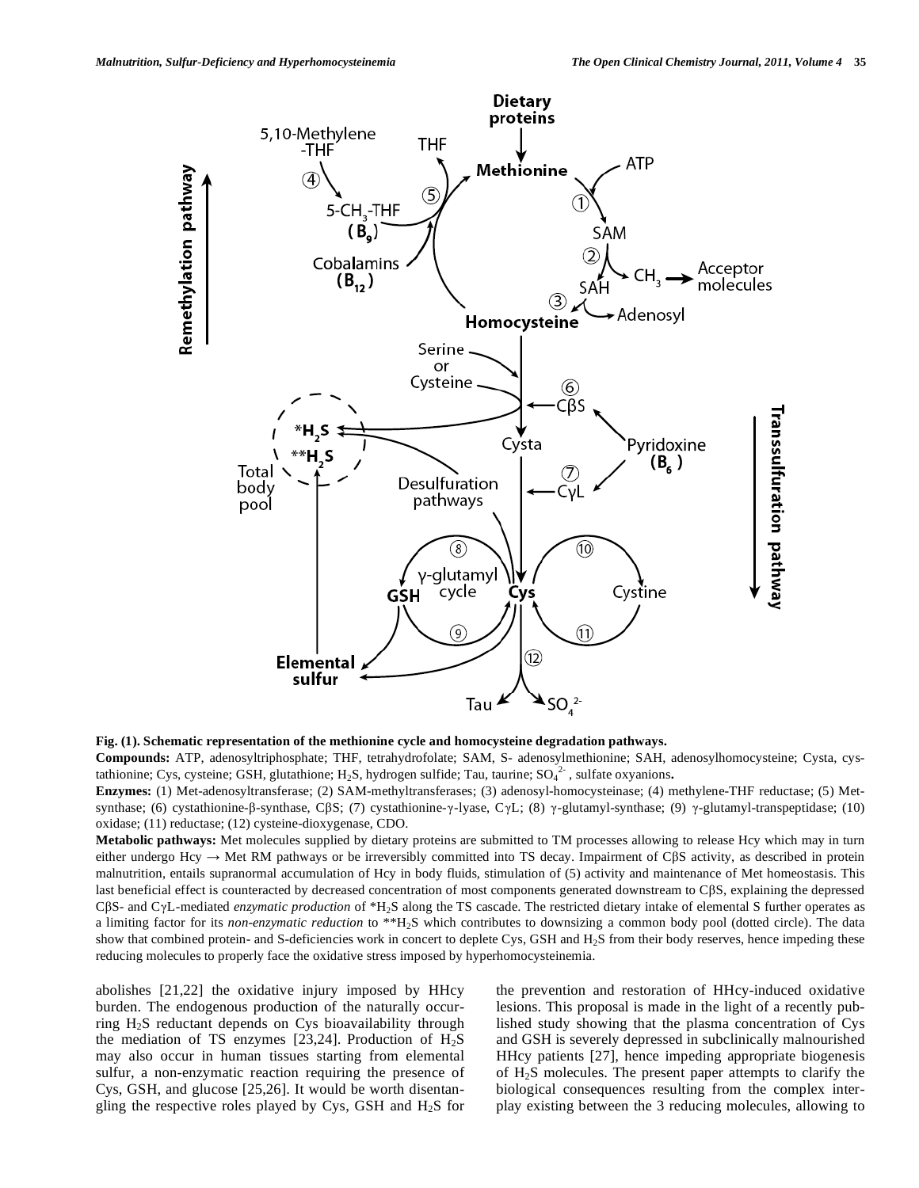

**Fig. (1). Schematic representation of the methionine cycle and homocysteine degradation pathways.** 

**Compounds:** ATP, adenosyltriphosphate; THF, tetrahydrofolate; SAM, S- adenosylmethionine; SAH, adenosylhomocysteine; Cysta, cystathionine; Cys, cysteine; GSH, glutathione; H<sub>2</sub>S, hydrogen sulfide; Tau, taurine; SO<sub>4</sub><sup>2</sup>, sulfate oxyanions.

**Enzymes:** (1) Met-adenosyltransferase; (2) SAM-methyltransferases; (3) adenosyl-homocysteinase; (4) methylene-THF reductase; (5) Metsynthase; (6) cystathionine- $\beta$ -synthase, C $\beta S$ ; (7) cystathionine- $\gamma$ -lyase, C $\gamma L$ ; (8)  $\gamma$ -glutamyl-synthase; (9)  $\gamma$ -glutamyl-transpeptidase; (10) oxidase; (11) reductase; (12) cysteine-dioxygenase, CDO.

**Metabolic pathways:** Met molecules supplied by dietary proteins are submitted to TM processes allowing to release Hcy which may in turn either undergo Hcy  $\rightarrow$  Met RM pathways or be irreversibly committed into TS decay. Impairment of C $\beta S$  activity, as described in protein malnutrition, entails supranormal accumulation of Hcy in body fluids, stimulation of (5) activity and maintenance of Met homeostasis. This last beneficial effect is counteracted by decreased concentration of most components generated downstream to CBS, explaining the depressed CβS- and CγL-mediated *enzymatic production* of \*H<sub>2</sub>S along the TS cascade. The restricted dietary intake of elemental S further operates as a limiting factor for its *non-enzymatic reduction* to \*\*H2S which contributes to downsizing a common body pool (dotted circle). The data show that combined protein- and S-deficiencies work in concert to deplete Cys, GSH and H<sub>2</sub>S from their body reserves, hence impeding these reducing molecules to properly face the oxidative stress imposed by hyperhomocysteinemia.

abolishes [21,22] the oxidative injury imposed by HHcy burden. The endogenous production of the naturally occurring H2S reductant depends on Cys bioavailability through the mediation of TS enzymes [23,24]. Production of  $H_2S$ may also occur in human tissues starting from elemental sulfur, a non-enzymatic reaction requiring the presence of Cys, GSH, and glucose [25,26]. It would be worth disentangling the respective roles played by Cys, GSH and  $H_2S$  for

the prevention and restoration of HHcy-induced oxidative lesions. This proposal is made in the light of a recently published study showing that the plasma concentration of Cys and GSH is severely depressed in subclinically malnourished HHcy patients [27], hence impeding appropriate biogenesis of  $H_2S$  molecules. The present paper attempts to clarify the biological consequences resulting from the complex interplay existing between the 3 reducing molecules, allowing to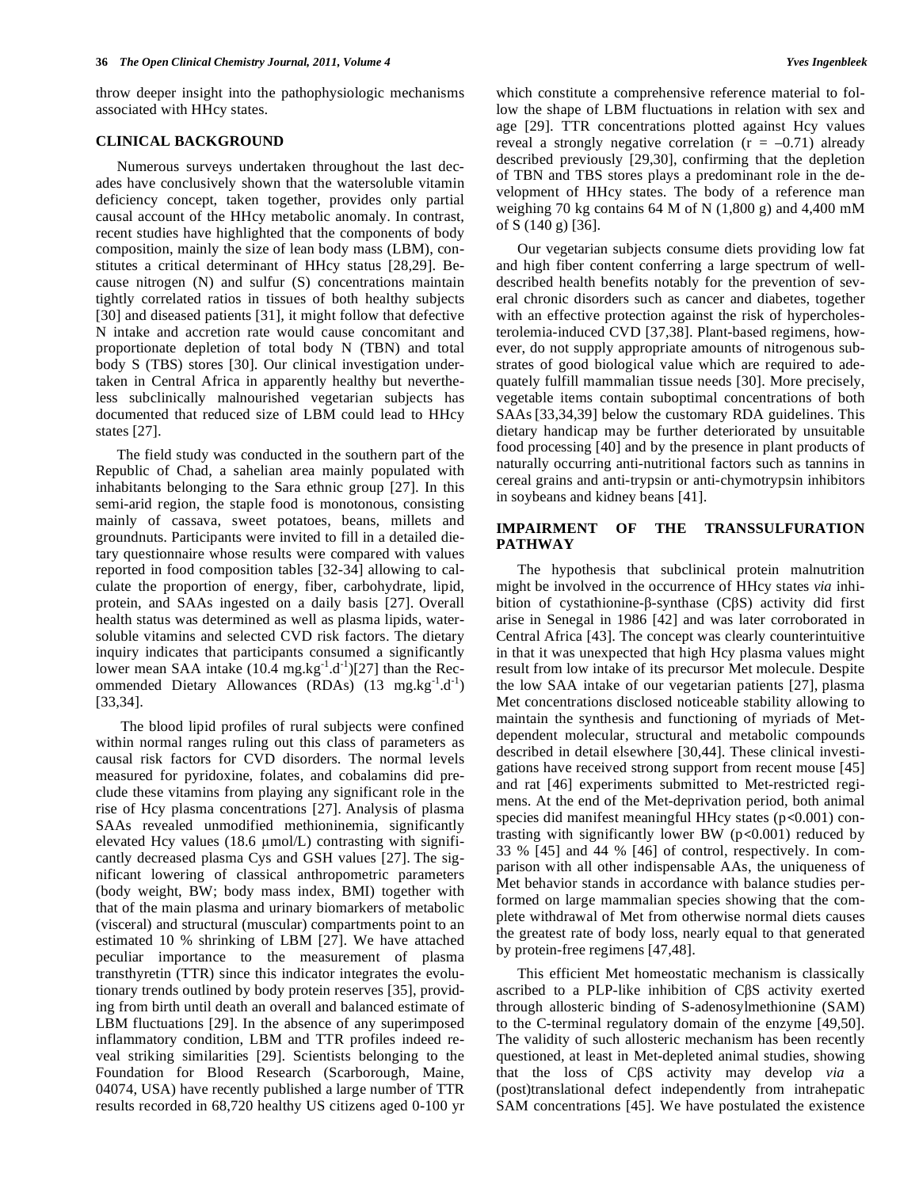throw deeper insight into the pathophysiologic mechanisms associated with HHcy states.

#### **CLINICAL BACKGROUND**

 Numerous surveys undertaken throughout the last decades have conclusively shown that the watersoluble vitamin deficiency concept, taken together, provides only partial causal account of the HHcy metabolic anomaly. In contrast, recent studies have highlighted that the components of body composition, mainly the size of lean body mass (LBM), constitutes a critical determinant of HHcy status [28,29]. Because nitrogen (N) and sulfur (S) concentrations maintain tightly correlated ratios in tissues of both healthy subjects [30] and diseased patients [31], it might follow that defective N intake and accretion rate would cause concomitant and proportionate depletion of total body N (TBN) and total body S (TBS) stores [30]. Our clinical investigation undertaken in Central Africa in apparently healthy but nevertheless subclinically malnourished vegetarian subjects has documented that reduced size of LBM could lead to HHcy states [27].

 The field study was conducted in the southern part of the Republic of Chad, a sahelian area mainly populated with inhabitants belonging to the Sara ethnic group [27]. In this semi-arid region, the staple food is monotonous, consisting mainly of cassava, sweet potatoes, beans, millets and groundnuts. Participants were invited to fill in a detailed dietary questionnaire whose results were compared with values reported in food composition tables [32-34] allowing to calculate the proportion of energy, fiber, carbohydrate, lipid, protein, and SAAs ingested on a daily basis [27]. Overall health status was determined as well as plasma lipids, watersoluble vitamins and selected CVD risk factors. The dietary inquiry indicates that participants consumed a significantly lower mean SAA intake  $(10.4 \text{ mg} \cdot \text{kg}^{-1} \cdot \text{d}^{-1})[27]$  than the Recommended Dietary Allowances (RDAs)  $(13 \text{ mg} \cdot \text{kg}^{-1} \cdot \text{d}^{-1})$ [33,34].

 The blood lipid profiles of rural subjects were confined within normal ranges ruling out this class of parameters as causal risk factors for CVD disorders. The normal levels measured for pyridoxine, folates, and cobalamins did preclude these vitamins from playing any significant role in the rise of Hcy plasma concentrations [27]. Analysis of plasma SAAs revealed unmodified methioninemia, significantly elevated Hcy values (18.6  $\mu$ mol/L) contrasting with significantly decreased plasma Cys and GSH values [27]. The significant lowering of classical anthropometric parameters (body weight, BW; body mass index, BMI) together with that of the main plasma and urinary biomarkers of metabolic (visceral) and structural (muscular) compartments point to an estimated 10 % shrinking of LBM [27]. We have attached peculiar importance to the measurement of plasma transthyretin (TTR) since this indicator integrates the evolutionary trends outlined by body protein reserves [35], providing from birth until death an overall and balanced estimate of LBM fluctuations [29]. In the absence of any superimposed inflammatory condition, LBM and TTR profiles indeed reveal striking similarities [29]. Scientists belonging to the Foundation for Blood Research (Scarborough, Maine, 04074, USA) have recently published a large number of TTR results recorded in 68,720 healthy US citizens aged 0-100 yr

which constitute a comprehensive reference material to follow the shape of LBM fluctuations in relation with sex and age [29]. TTR concentrations plotted against Hcy values reveal a strongly negative correlation  $(r = -0.71)$  already described previously [29,30], confirming that the depletion of TBN and TBS stores plays a predominant role in the development of HHcy states. The body of a reference man weighing 70 kg contains 64 M of N  $(1,800 \text{ g})$  and 4,400 mM of S (140 g) [36].

 Our vegetarian subjects consume diets providing low fat and high fiber content conferring a large spectrum of welldescribed health benefits notably for the prevention of several chronic disorders such as cancer and diabetes, together with an effective protection against the risk of hypercholesterolemia-induced CVD [37,38]. Plant-based regimens, however, do not supply appropriate amounts of nitrogenous substrates of good biological value which are required to adequately fulfill mammalian tissue needs [30]. More precisely, vegetable items contain suboptimal concentrations of both SAAs [33,34,39] below the customary RDA guidelines. This dietary handicap may be further deteriorated by unsuitable food processing [40] and by the presence in plant products of naturally occurring anti-nutritional factors such as tannins in cereal grains and anti-trypsin or anti-chymotrypsin inhibitors in soybeans and kidney beans [41].

## **IMPAIRMENT OF THE TRANSSULFURATION PATHWAY**

 The hypothesis that subclinical protein malnutrition might be involved in the occurrence of HHcy states *via* inhibition of cystathionine- $\beta$ -synthase (C $\beta$ S) activity did first arise in Senegal in 1986 [42] and was later corroborated in Central Africa [43]. The concept was clearly counterintuitive in that it was unexpected that high Hcy plasma values might result from low intake of its precursor Met molecule. Despite the low SAA intake of our vegetarian patients [27], plasma Met concentrations disclosed noticeable stability allowing to maintain the synthesis and functioning of myriads of Metdependent molecular, structural and metabolic compounds described in detail elsewhere [30,44]. These clinical investigations have received strong support from recent mouse [45] and rat [46] experiments submitted to Met-restricted regimens. At the end of the Met-deprivation period, both animal species did manifest meaningful HHcy states  $(p<0.001)$  contrasting with significantly lower BW ( $p<0.001$ ) reduced by 33 % [45] and 44 % [46] of control, respectively. In comparison with all other indispensable AAs, the uniqueness of Met behavior stands in accordance with balance studies performed on large mammalian species showing that the complete withdrawal of Met from otherwise normal diets causes the greatest rate of body loss, nearly equal to that generated by protein-free regimens [47,48].

 This efficient Met homeostatic mechanism is classically ascribed to a PLP-like inhibition of CBS activity exerted through allosteric binding of S-adenosylmethionine (SAM) to the C-terminal regulatory domain of the enzyme [49,50]. The validity of such allosteric mechanism has been recently questioned, at least in Met-depleted animal studies, showing that the loss of C-S activity may develop *via* a (post)translational defect independently from intrahepatic SAM concentrations [45]. We have postulated the existence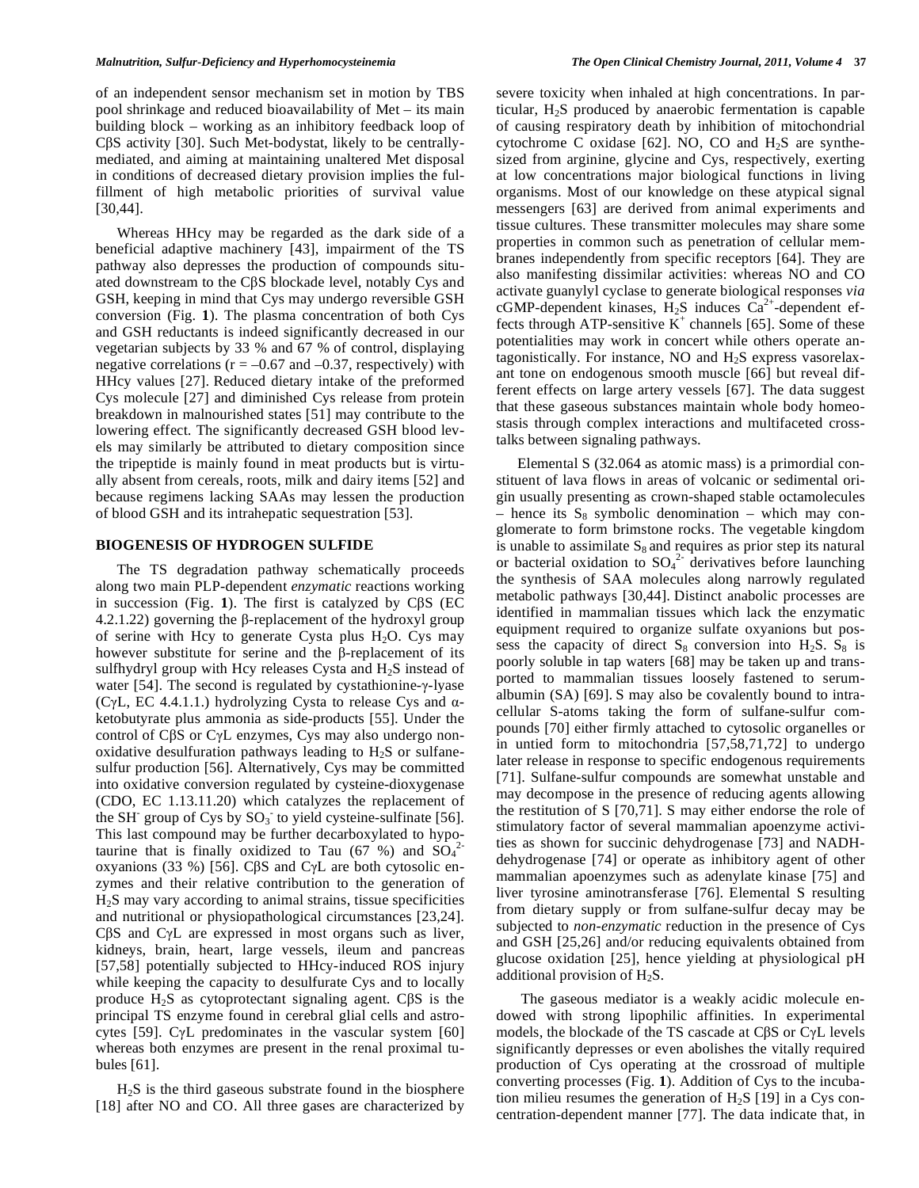of an independent sensor mechanism set in motion by TBS pool shrinkage and reduced bioavailability of Met – its main building block – working as an inhibitory feedback loop of C $\beta$ S activity [30]. Such Met-bodystat, likely to be centrallymediated, and aiming at maintaining unaltered Met disposal in conditions of decreased dietary provision implies the fulfillment of high metabolic priorities of survival value [30,44].

 Whereas HHcy may be regarded as the dark side of a beneficial adaptive machinery [43], impairment of the TS pathway also depresses the production of compounds situated downstream to the C $\beta S$  blockade level, notably Cys and GSH, keeping in mind that Cys may undergo reversible GSH conversion (Fig. **1**). The plasma concentration of both Cys and GSH reductants is indeed significantly decreased in our vegetarian subjects by 33 % and 67 % of control, displaying negative correlations ( $r = -0.67$  and  $-0.37$ , respectively) with HHcy values [27]. Reduced dietary intake of the preformed Cys molecule [27] and diminished Cys release from protein breakdown in malnourished states [51] may contribute to the lowering effect. The significantly decreased GSH blood levels may similarly be attributed to dietary composition since the tripeptide is mainly found in meat products but is virtually absent from cereals, roots, milk and dairy items [52] and because regimens lacking SAAs may lessen the production of blood GSH and its intrahepatic sequestration [53].

## **BIOGENESIS OF HYDROGEN SULFIDE**

 The TS degradation pathway schematically proceeds along two main PLP-dependent *enzymatic* reactions working in succession (Fig.  $1$ ). The first is catalyzed by C $\beta S$  (EC  $4.2.1.22$ ) governing the  $\beta$ -replacement of the hydroxyl group of serine with Hcy to generate Cysta plus  $H_2O$ . Cys may however substitute for serine and the  $\beta$ -replacement of its sulfhydryl group with Hcy releases Cysta and H<sub>2</sub>S instead of water  $[54]$ . The second is regulated by cystathionine- $\gamma$ -lyase (C $\gamma$ L, EC 4.4.1.1.) hydrolyzing Cysta to release Cys and  $\alpha$ ketobutyrate plus ammonia as side-products [55]. Under the control of  $C\beta S$  or  $C\gamma L$  enzymes,  $Cys$  may also undergo nonoxidative desulfuration pathways leading to  $H_2S$  or sulfanesulfur production [56]. Alternatively, Cys may be committed into oxidative conversion regulated by cysteine-dioxygenase (CDO, EC 1.13.11.20) which catalyzes the replacement of the SH<sup>-</sup> group of Cys by  $SO_3$ <sup>-</sup> to yield cysteine-sulfinate [56]. This last compound may be further decarboxylated to hypotaurine that is finally oxidized to Tau  $(67 \degree 8)$  and  $SO_4^2$ oxyanions (33 %) [56]. C $\beta S$  and C $\gamma L$  are both cytosolic enzymes and their relative contribution to the generation of H2S may vary according to animal strains, tissue specificities and nutritional or physiopathological circumstances [23,24].  $C\beta S$  and  $C\gamma L$  are expressed in most organs such as liver, kidneys, brain, heart, large vessels, ileum and pancreas [57,58] potentially subjected to HHcy-induced ROS injury while keeping the capacity to desulfurate Cys and to locally produce  $H_2S$  as cytoprotectant signaling agent. C $\beta S$  is the principal TS enzyme found in cerebral glial cells and astrocytes [59]. C $\gamma$ L predominates in the vascular system [60] whereas both enzymes are present in the renal proximal tubules [61].

 $H<sub>2</sub>S$  is the third gaseous substrate found in the biosphere [18] after NO and CO. All three gases are characterized by severe toxicity when inhaled at high concentrations. In particular,  $H_2S$  produced by anaerobic fermentation is capable of causing respiratory death by inhibition of mitochondrial cytochrome C oxidase [62]. NO, CO and  $H_2S$  are synthesized from arginine, glycine and Cys, respectively, exerting at low concentrations major biological functions in living organisms. Most of our knowledge on these atypical signal messengers [63] are derived from animal experiments and tissue cultures. These transmitter molecules may share some properties in common such as penetration of cellular membranes independently from specific receptors [64]. They are also manifesting dissimilar activities: whereas NO and CO activate guanylyl cyclase to generate biological responses *via*  cGMP-dependent kinases,  $H_2S$  induces  $Ca^{2+}$ -dependent effects through ATP-sensitive  $K^+$  channels [65]. Some of these potentialities may work in concert while others operate antagonistically. For instance, NO and  $H<sub>2</sub>S$  express vasorelaxant tone on endogenous smooth muscle [66] but reveal different effects on large artery vessels [67]. The data suggest that these gaseous substances maintain whole body homeostasis through complex interactions and multifaceted crosstalks between signaling pathways.

 Elemental S (32.064 as atomic mass) is a primordial constituent of lava flows in areas of volcanic or sedimental origin usually presenting as crown-shaped stable octamolecules hence its  $S_8$  symbolic denomination – which may conglomerate to form brimstone rocks. The vegetable kingdom is unable to assimilate  $S_8$  and requires as prior step its natural or bacterial oxidation to  $SO_4^2$  derivatives before launching the synthesis of SAA molecules along narrowly regulated metabolic pathways [30,44]. Distinct anabolic processes are identified in mammalian tissues which lack the enzymatic equipment required to organize sulfate oxyanions but possess the capacity of direct  $S_8$  conversion into  $H_2S$ .  $S_8$  is poorly soluble in tap waters [68] may be taken up and transported to mammalian tissues loosely fastened to serumalbumin (SA) [69]. S may also be covalently bound to intracellular S-atoms taking the form of sulfane-sulfur compounds [70] either firmly attached to cytosolic organelles or in untied form to mitochondria [57,58,71,72] to undergo later release in response to specific endogenous requirements [71]. Sulfane-sulfur compounds are somewhat unstable and may decompose in the presence of reducing agents allowing the restitution of S [70,71]. S may either endorse the role of stimulatory factor of several mammalian apoenzyme activities as shown for succinic dehydrogenase [73] and NADHdehydrogenase [74] or operate as inhibitory agent of other mammalian apoenzymes such as adenylate kinase [75] and liver tyrosine aminotransferase [76]. Elemental S resulting from dietary supply or from sulfane-sulfur decay may be subjected to *non-enzymatic* reduction in the presence of Cys and GSH [25,26] and/or reducing equivalents obtained from glucose oxidation [25], hence yielding at physiological pH additional provision of  $H_2S$ .

 The gaseous mediator is a weakly acidic molecule endowed with strong lipophilic affinities. In experimental models, the blockade of the TS cascade at  $C\beta S$  or  $C\gamma L$  levels significantly depresses or even abolishes the vitally required production of Cys operating at the crossroad of multiple converting processes (Fig. **1**). Addition of Cys to the incubation milieu resumes the generation of  $H_2S$  [19] in a Cys concentration-dependent manner [77]. The data indicate that, in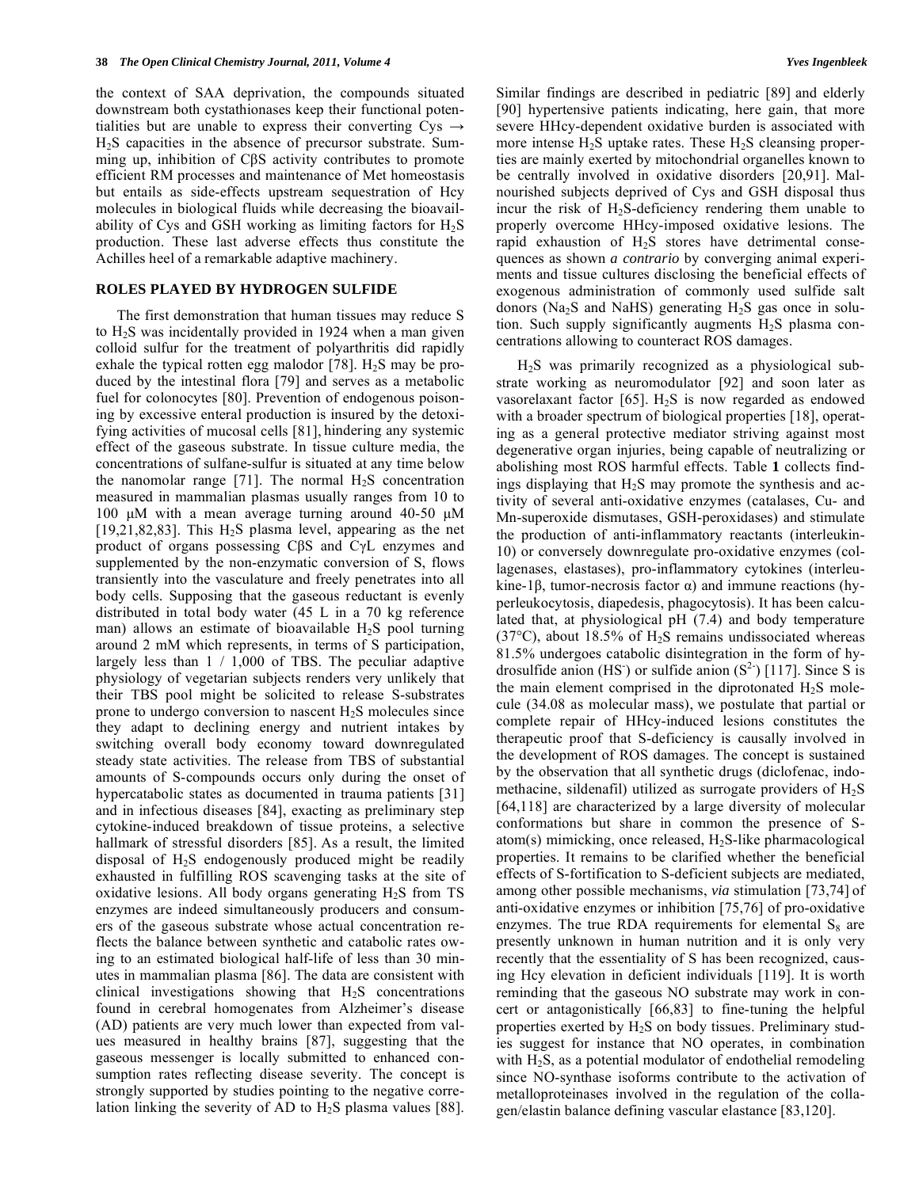the context of SAA deprivation, the compounds situated downstream both cystathionases keep their functional potentialities but are unable to express their converting  $Cys \rightarrow$ H2S capacities in the absence of precursor substrate. Summing up, inhibition of CBS activity contributes to promote efficient RM processes and maintenance of Met homeostasis but entails as side-effects upstream sequestration of Hcy molecules in biological fluids while decreasing the bioavailability of Cys and GSH working as limiting factors for  $H_2S$ production. These last adverse effects thus constitute the Achilles heel of a remarkable adaptive machinery.

## **ROLES PLAYED BY HYDROGEN SULFIDE**

 The first demonstration that human tissues may reduce S to  $H<sub>2</sub>S$  was incidentally provided in 1924 when a man given colloid sulfur for the treatment of polyarthritis did rapidly exhale the typical rotten egg malodor [78].  $H<sub>2</sub>S$  may be produced by the intestinal flora [79] and serves as a metabolic fuel for colonocytes [80]. Prevention of endogenous poisoning by excessive enteral production is insured by the detoxifying activities of mucosal cells [81], hindering any systemic effect of the gaseous substrate. In tissue culture media, the concentrations of sulfane-sulfur is situated at any time below the nanomolar range [71]. The normal  $H_2S$  concentration measured in mammalian plasmas usually ranges from 10 to 100 μM with a mean average turning around 40-50 μM  $[19,21,82,83]$ . This H<sub>2</sub>S plasma level, appearing as the net product of organs possessing  $C\beta S$  and  $C\gamma L$  enzymes and supplemented by the non-enzymatic conversion of S, flows transiently into the vasculature and freely penetrates into all body cells. Supposing that the gaseous reductant is evenly distributed in total body water (45 L in a 70 kg reference man) allows an estimate of bioavailable  $H_2S$  pool turning around 2 mM which represents, in terms of S participation, largely less than 1 / 1,000 of TBS. The peculiar adaptive physiology of vegetarian subjects renders very unlikely that their TBS pool might be solicited to release S-substrates prone to undergo conversion to nascent  $H_2S$  molecules since they adapt to declining energy and nutrient intakes by switching overall body economy toward downregulated steady state activities. The release from TBS of substantial amounts of S-compounds occurs only during the onset of hypercatabolic states as documented in trauma patients [31] and in infectious diseases [84], exacting as preliminary step cytokine-induced breakdown of tissue proteins, a selective hallmark of stressful disorders [85]. As a result, the limited disposal of H2S endogenously produced might be readily exhausted in fulfilling ROS scavenging tasks at the site of oxidative lesions. All body organs generating  $H_2S$  from TS enzymes are indeed simultaneously producers and consumers of the gaseous substrate whose actual concentration reflects the balance between synthetic and catabolic rates owing to an estimated biological half-life of less than 30 minutes in mammalian plasma [86]. The data are consistent with clinical investigations showing that H2S concentrations found in cerebral homogenates from Alzheimer's disease (AD) patients are very much lower than expected from values measured in healthy brains [87], suggesting that the gaseous messenger is locally submitted to enhanced consumption rates reflecting disease severity. The concept is strongly supported by studies pointing to the negative correlation linking the severity of AD to  $H_2S$  plasma values [88].

Similar findings are described in pediatric [89] and elderly [90] hypertensive patients indicating, here gain, that more severe HHcy-dependent oxidative burden is associated with more intense  $H_2S$  uptake rates. These  $H_2S$  cleansing properties are mainly exerted by mitochondrial organelles known to be centrally involved in oxidative disorders [20,91]. Malnourished subjects deprived of Cys and GSH disposal thus incur the risk of  $H_2S$ -deficiency rendering them unable to properly overcome HHcy-imposed oxidative lesions. The rapid exhaustion of  $H<sub>2</sub>S$  stores have detrimental consequences as shown *a contrario* by converging animal experiments and tissue cultures disclosing the beneficial effects of exogenous administration of commonly used sulfide salt donors (Na<sub>2</sub>S and NaHS) generating  $H_2S$  gas once in solution. Such supply significantly augments  $H<sub>2</sub>S$  plasma concentrations allowing to counteract ROS damages.

 $H<sub>2</sub>S$  was primarily recognized as a physiological substrate working as neuromodulator [92] and soon later as vasorelaxant factor [65].  $H<sub>2</sub>S$  is now regarded as endowed with a broader spectrum of biological properties [18], operating as a general protective mediator striving against most degenerative organ injuries, being capable of neutralizing or abolishing most ROS harmful effects. Table **1** collects findings displaying that H2S may promote the synthesis and activity of several anti-oxidative enzymes (catalases, Cu- and Mn-superoxide dismutases, GSH-peroxidases) and stimulate the production of anti-inflammatory reactants (interleukin-10) or conversely downregulate pro-oxidative enzymes (collagenases, elastases), pro-inflammatory cytokines (interleukine-1 $\beta$ , tumor-necrosis factor  $\alpha$ ) and immune reactions (hyperleukocytosis, diapedesis, phagocytosis). It has been calculated that, at physiological pH (7.4) and body temperature (37 $\degree$ C), about 18.5% of H<sub>2</sub>S remains undissociated whereas 81.5% undergoes catabolic disintegration in the form of hydrosulfide anion (HS) or sulfide anion  $(S^2)$  [117]. Since S is the main element comprised in the diprotonated  $H_2S$  molecule (34.08 as molecular mass), we postulate that partial or complete repair of HHcy-induced lesions constitutes the therapeutic proof that S-deficiency is causally involved in the development of ROS damages. The concept is sustained by the observation that all synthetic drugs (diclofenac, indomethacine, sildenafil) utilized as surrogate providers of  $H_2S$ [64,118] are characterized by a large diversity of molecular conformations but share in common the presence of Satom(s) mimicking, once released,  $H_2S$ -like pharmacological properties. It remains to be clarified whether the beneficial effects of S-fortification to S-deficient subjects are mediated, among other possible mechanisms, *via* stimulation [73,74] of anti-oxidative enzymes or inhibition [75,76] of pro-oxidative enzymes. The true RDA requirements for elemental  $S_8$  are presently unknown in human nutrition and it is only very recently that the essentiality of S has been recognized, causing Hcy elevation in deficient individuals [119]. It is worth reminding that the gaseous NO substrate may work in concert or antagonistically [66,83] to fine-tuning the helpful properties exerted by H2S on body tissues. Preliminary studies suggest for instance that NO operates, in combination with  $H_2S$ , as a potential modulator of endothelial remodeling since NO-synthase isoforms contribute to the activation of metalloproteinases involved in the regulation of the collagen/elastin balance defining vascular elastance [83,120].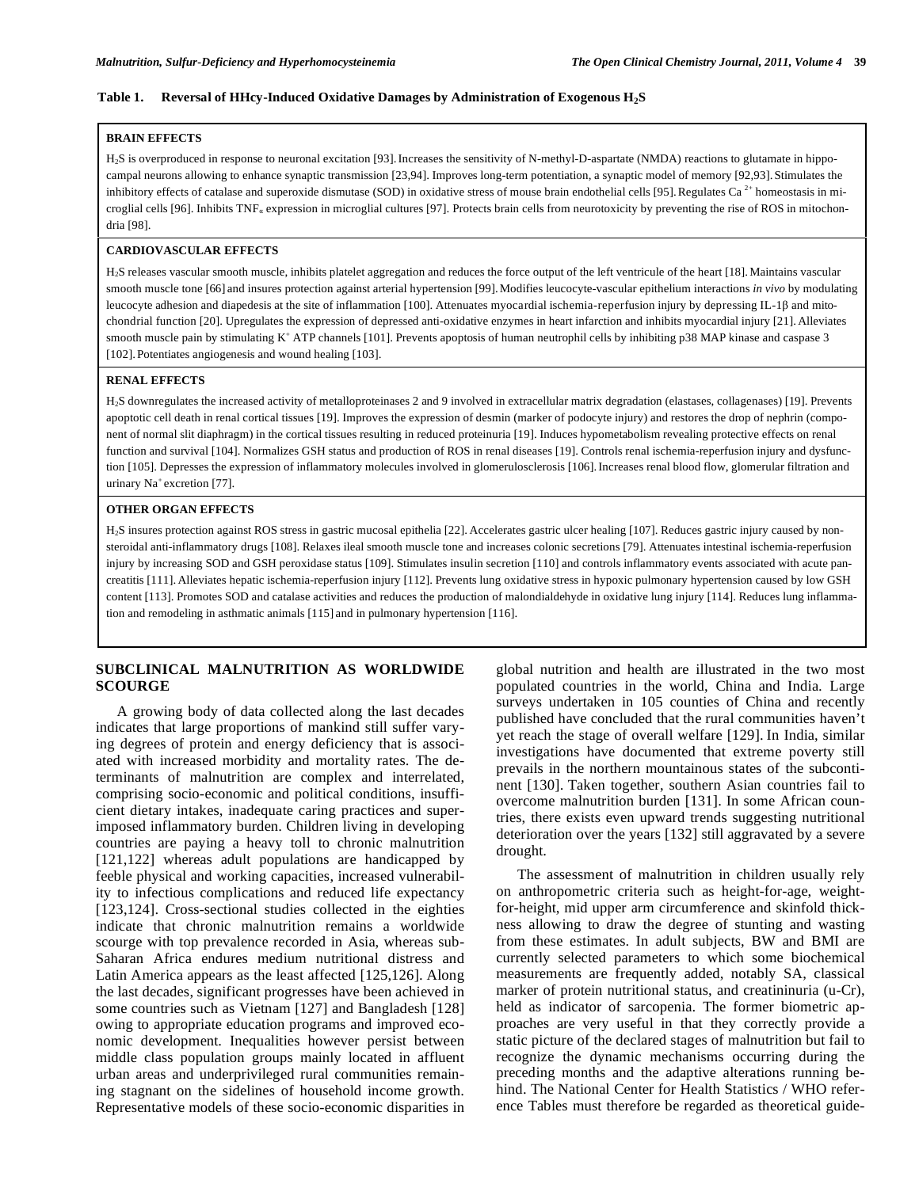#### **Table 1. Reversal of HHcy-Induced Oxidative Damages by Administration of Exogenous H2S**

#### **BRAIN EFFECTS**

H<sub>2</sub>S is overproduced in response to neuronal excitation [93]. Increases the sensitivity of N-methyl-D-aspartate (NMDA) reactions to glutamate in hippocampal neurons allowing to enhance synaptic transmission [23,94]. Improves long-term potentiation, a synaptic model of memory [92,93]. Stimulates the inhibitory effects of catalase and superoxide dismutase (SOD) in oxidative stress of mouse brain endothelial cells [95]. Regulates Ca<sup>2+</sup> homeostasis in microglial cells [96]. Inhibits  $\text{TNF}_{a}$  expression in microglial cultures [97]. Protects brain cells from neurotoxicity by preventing the rise of ROS in mitochondria [98].

#### **CARDIOVASCULAR EFFECTS**

H2S releases vascular smooth muscle, inhibits platelet aggregation and reduces the force output of the left ventricule of the heart [18].Maintains vascular smooth muscle tone [66] and insures protection against arterial hypertension [99].Modifies leucocyte-vascular epithelium interactions *in vivo* by modulating leucocyte adhesion and diapedesis at the site of inflammation [100]. Attenuates myocardial ischemia-reperfusion injury by depressing IL-1β and mitochondrial function [20]. Upregulates the expression of depressed anti-oxidative enzymes in heart infarction and inhibits myocardial injury [21].Alleviates smooth muscle pain by stimulating K<sup>+</sup> ATP channels [101]. Prevents apoptosis of human neutrophil cells by inhibiting p38 MAP kinase and caspase 3 [102]. Potentiates angiogenesis and wound healing [103].

#### **RENAL EFFECTS**

H2S downregulates the increased activity of metalloproteinases 2 and 9 involved in extracellular matrix degradation (elastases, collagenases) [19]. Prevents apoptotic cell death in renal cortical tissues [19]. Improves the expression of desmin (marker of podocyte injury) and restores the drop of nephrin (component of normal slit diaphragm) in the cortical tissues resulting in reduced proteinuria [19]. Induces hypometabolism revealing protective effects on renal function and survival [104]. Normalizes GSH status and production of ROS in renal diseases [19]. Controls renal ischemia-reperfusion injury and dysfunction [105]. Depresses the expression of inflammatory molecules involved in glomerulosclerosis [106]. Increases renal blood flow, glomerular filtration and urinary Na<sup>+</sup> excretion [77].

#### **OTHER ORGAN EFFECTS**

H2S insures protection against ROS stress in gastric mucosal epithelia [22]. Accelerates gastric ulcer healing [107]. Reduces gastric injury caused by nonsteroidal anti-inflammatory drugs [108]. Relaxes ileal smooth muscle tone and increases colonic secretions [79]. Attenuates intestinal ischemia-reperfusion injury by increasing SOD and GSH peroxidase status [109]. Stimulates insulin secretion [110] and controls inflammatory events associated with acute pancreatitis [111].Alleviates hepatic ischemia-reperfusion injury [112]. Prevents lung oxidative stress in hypoxic pulmonary hypertension caused by low GSH content [113]. Promotes SOD and catalase activities and reduces the production of malondialdehyde in oxidative lung injury [114]. Reduces lung inflammation and remodeling in asthmatic animals [115] and in pulmonary hypertension [116].

## **SUBCLINICAL MALNUTRITION AS WORLDWIDE SCOURGE**

 A growing body of data collected along the last decades indicates that large proportions of mankind still suffer varying degrees of protein and energy deficiency that is associated with increased morbidity and mortality rates. The determinants of malnutrition are complex and interrelated, comprising socio-economic and political conditions, insufficient dietary intakes, inadequate caring practices and superimposed inflammatory burden. Children living in developing countries are paying a heavy toll to chronic malnutrition [121,122] whereas adult populations are handicapped by feeble physical and working capacities, increased vulnerability to infectious complications and reduced life expectancy [123,124]. Cross-sectional studies collected in the eighties indicate that chronic malnutrition remains a worldwide scourge with top prevalence recorded in Asia, whereas sub-Saharan Africa endures medium nutritional distress and Latin America appears as the least affected [125,126]. Along the last decades, significant progresses have been achieved in some countries such as Vietnam [127] and Bangladesh [128] owing to appropriate education programs and improved economic development. Inequalities however persist between middle class population groups mainly located in affluent urban areas and underprivileged rural communities remaining stagnant on the sidelines of household income growth. Representative models of these socio-economic disparities in

global nutrition and health are illustrated in the two most populated countries in the world, China and India. Large surveys undertaken in 105 counties of China and recently published have concluded that the rural communities haven't yet reach the stage of overall welfare [129]. In India, similar investigations have documented that extreme poverty still prevails in the northern mountainous states of the subcontinent [130]. Taken together, southern Asian countries fail to overcome malnutrition burden [131]. In some African countries, there exists even upward trends suggesting nutritional deterioration over the years [132] still aggravated by a severe drought.

 The assessment of malnutrition in children usually rely on anthropometric criteria such as height-for-age, weightfor-height, mid upper arm circumference and skinfold thickness allowing to draw the degree of stunting and wasting from these estimates. In adult subjects, BW and BMI are currently selected parameters to which some biochemical measurements are frequently added, notably SA, classical marker of protein nutritional status, and creatininuria (u-Cr), held as indicator of sarcopenia. The former biometric approaches are very useful in that they correctly provide a static picture of the declared stages of malnutrition but fail to recognize the dynamic mechanisms occurring during the preceding months and the adaptive alterations running behind. The National Center for Health Statistics / WHO reference Tables must therefore be regarded as theoretical guide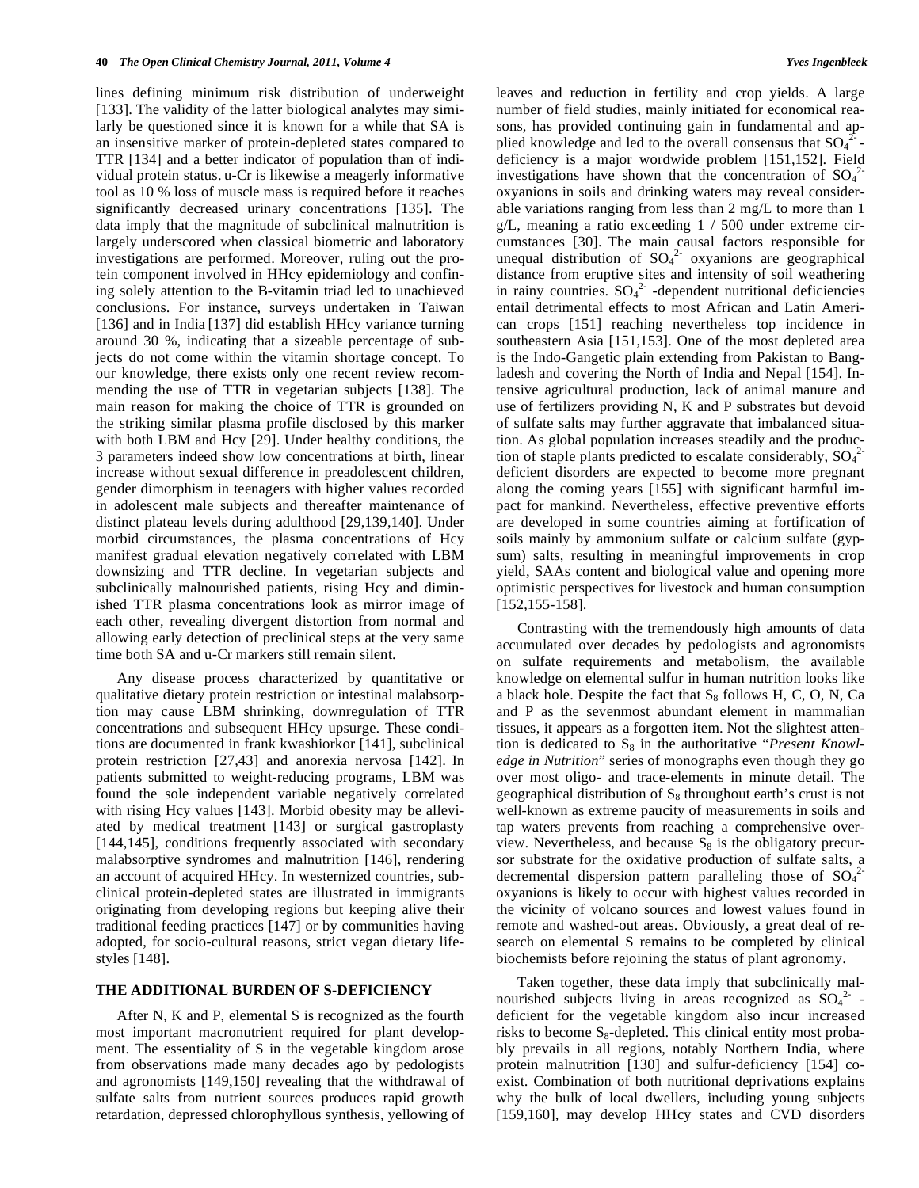lines defining minimum risk distribution of underweight [133]. The validity of the latter biological analytes may similarly be questioned since it is known for a while that SA is an insensitive marker of protein-depleted states compared to TTR [134] and a better indicator of population than of individual protein status. u-Cr is likewise a meagerly informative tool as 10 % loss of muscle mass is required before it reaches significantly decreased urinary concentrations [135]. The data imply that the magnitude of subclinical malnutrition is largely underscored when classical biometric and laboratory investigations are performed. Moreover, ruling out the protein component involved in HHcy epidemiology and confining solely attention to the B-vitamin triad led to unachieved conclusions. For instance, surveys undertaken in Taiwan [136] and in India [137] did establish HHcy variance turning around 30 %, indicating that a sizeable percentage of subjects do not come within the vitamin shortage concept. To our knowledge, there exists only one recent review recommending the use of TTR in vegetarian subjects [138]. The main reason for making the choice of TTR is grounded on the striking similar plasma profile disclosed by this marker with both LBM and Hcy [29]. Under healthy conditions, the 3 parameters indeed show low concentrations at birth, linear increase without sexual difference in preadolescent children, gender dimorphism in teenagers with higher values recorded in adolescent male subjects and thereafter maintenance of distinct plateau levels during adulthood [29,139,140]. Under morbid circumstances, the plasma concentrations of Hcy manifest gradual elevation negatively correlated with LBM downsizing and TTR decline. In vegetarian subjects and subclinically malnourished patients, rising Hcy and diminished TTR plasma concentrations look as mirror image of each other, revealing divergent distortion from normal and allowing early detection of preclinical steps at the very same time both SA and u-Cr markers still remain silent.

 Any disease process characterized by quantitative or qualitative dietary protein restriction or intestinal malabsorption may cause LBM shrinking, downregulation of TTR concentrations and subsequent HHcy upsurge. These conditions are documented in frank kwashiorkor [141], subclinical protein restriction [27,43] and anorexia nervosa [142]. In patients submitted to weight-reducing programs, LBM was found the sole independent variable negatively correlated with rising Hcy values [143]. Morbid obesity may be alleviated by medical treatment [143] or surgical gastroplasty [144,145], conditions frequently associated with secondary malabsorptive syndromes and malnutrition [146], rendering an account of acquired HHcy. In westernized countries, subclinical protein-depleted states are illustrated in immigrants originating from developing regions but keeping alive their traditional feeding practices [147] or by communities having adopted, for socio-cultural reasons, strict vegan dietary lifestyles [148].

## **THE ADDITIONAL BURDEN OF S-DEFICIENCY**

 After N, K and P, elemental S is recognized as the fourth most important macronutrient required for plant development. The essentiality of S in the vegetable kingdom arose from observations made many decades ago by pedologists and agronomists [149,150] revealing that the withdrawal of sulfate salts from nutrient sources produces rapid growth retardation, depressed chlorophyllous synthesis, yellowing of leaves and reduction in fertility and crop yields. A large number of field studies, mainly initiated for economical reasons, has provided continuing gain in fundamental and applied knowledge and led to the overall consensus that  $SO_4^2$ deficiency is a major wordwide problem [151,152]. Field investigations have shown that the concentration of  $SO_4^2$ oxyanions in soils and drinking waters may reveal considerable variations ranging from less than 2 mg/L to more than 1 g/L, meaning a ratio exceeding 1 / 500 under extreme circumstances [30]. The main causal factors responsible for unequal distribution of  $SO_4^2$  oxyanions are geographical distance from eruptive sites and intensity of soil weathering in rainy countries.  $SO_4^2$ -dependent nutritional deficiencies entail detrimental effects to most African and Latin American crops [151] reaching nevertheless top incidence in southeastern Asia [151,153]. One of the most depleted area is the Indo-Gangetic plain extending from Pakistan to Bangladesh and covering the North of India and Nepal [154]. Intensive agricultural production, lack of animal manure and use of fertilizers providing N, K and P substrates but devoid of sulfate salts may further aggravate that imbalanced situation. As global population increases steadily and the production of staple plants predicted to escalate considerably,  $SO_4^2$ deficient disorders are expected to become more pregnant along the coming years [155] with significant harmful impact for mankind. Nevertheless, effective preventive efforts are developed in some countries aiming at fortification of soils mainly by ammonium sulfate or calcium sulfate (gypsum) salts, resulting in meaningful improvements in crop yield, SAAs content and biological value and opening more optimistic perspectives for livestock and human consumption [152,155-158].

 Contrasting with the tremendously high amounts of data accumulated over decades by pedologists and agronomists on sulfate requirements and metabolism, the available knowledge on elemental sulfur in human nutrition looks like a black hole. Despite the fact that  $S_8$  follows H, C, O, N, Ca and P as the sevenmost abundant element in mammalian tissues, it appears as a forgotten item. Not the slightest attention is dedicated to S<sub>8</sub> in the authoritative "*Present Knowledge in Nutrition*" series of monographs even though they go over most oligo- and trace-elements in minute detail. The geographical distribution of  $S_8$  throughout earth's crust is not well-known as extreme paucity of measurements in soils and tap waters prevents from reaching a comprehensive overview. Nevertheless, and because  $S_8$  is the obligatory precursor substrate for the oxidative production of sulfate salts, a decremental dispersion pattern paralleling those of  $SO_4^2$ oxyanions is likely to occur with highest values recorded in the vicinity of volcano sources and lowest values found in remote and washed-out areas. Obviously, a great deal of research on elemental S remains to be completed by clinical biochemists before rejoining the status of plant agronomy.

 Taken together, these data imply that subclinically malnourished subjects living in areas recognized as  $SO_4^2$  deficient for the vegetable kingdom also incur increased risks to become  $S_8$ -depleted. This clinical entity most probably prevails in all regions, notably Northern India, where protein malnutrition [130] and sulfur-deficiency [154] coexist. Combination of both nutritional deprivations explains why the bulk of local dwellers, including young subjects [159,160], may develop HHcy states and CVD disorders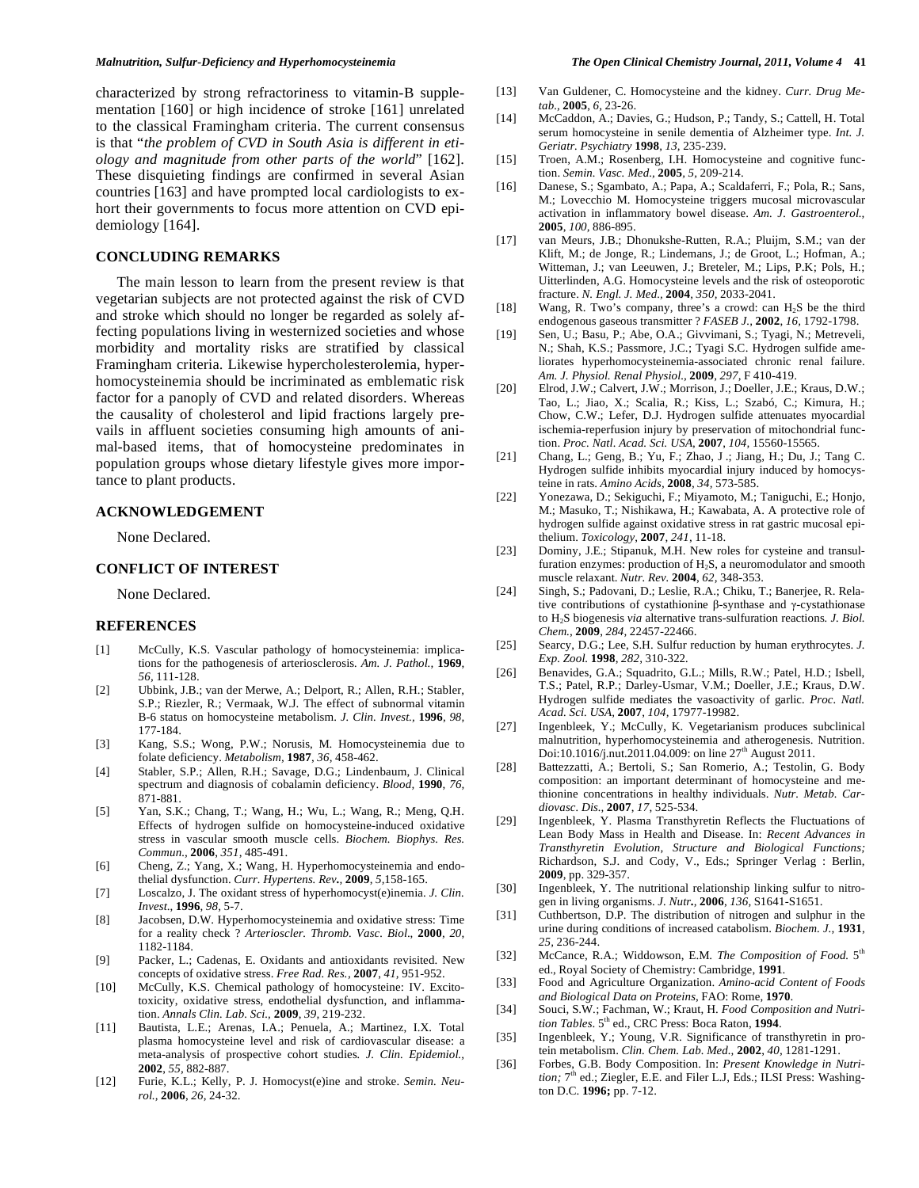characterized by strong refractoriness to vitamin-B supplementation [160] or high incidence of stroke [161] unrelated to the classical Framingham criteria. The current consensus is that "*the problem of CVD in South Asia is different in etiology and magnitude from other parts of the world*" [162]. These disquieting findings are confirmed in several Asian countries [163] and have prompted local cardiologists to exhort their governments to focus more attention on CVD epidemiology [164].

### **CONCLUDING REMARKS**

 The main lesson to learn from the present review is that vegetarian subjects are not protected against the risk of CVD and stroke which should no longer be regarded as solely affecting populations living in westernized societies and whose morbidity and mortality risks are stratified by classical Framingham criteria. Likewise hypercholesterolemia, hyperhomocysteinemia should be incriminated as emblematic risk factor for a panoply of CVD and related disorders. Whereas the causality of cholesterol and lipid fractions largely prevails in affluent societies consuming high amounts of animal-based items, that of homocysteine predominates in population groups whose dietary lifestyle gives more importance to plant products.

## **ACKNOWLEDGEMENT**

None Declared.

## **CONFLICT OF INTEREST**

None Declared.

#### **REFERENCES**

- [1] McCully, K.S. Vascular pathology of homocysteinemia: implications for the pathogenesis of arteriosclerosis*. Am. J. Pathol.,* **1969**, *56,* 111-128.
- [2] Ubbink, J.B.; van der Merwe, A.; Delport, R.; Allen, R.H.; Stabler, S.P.; Riezler, R.; Vermaak, W.J. The effect of subnormal vitamin B-6 status on homocysteine metabolism. *J. Clin. Invest.,* **1996**, *98,*  177-184.
- [3] Kang, S.S.; Wong, P.W.; Norusis, M. Homocysteinemia due to folate deficiency. *Metabolism,* **1987**, *36,* 458-462.
- [4] Stabler, S.P.; Allen, R.H.; Savage, D.G.; Lindenbaum, J. Clinical spectrum and diagnosis of cobalamin deficiency. *Blood,* **1990**, *76,*  871-881.
- [5] Yan, S.K.; Chang, T.; Wang, H.; Wu, L.; Wang, R.; Meng, Q.H. Effects of hydrogen sulfide on homocysteine-induced oxidative stress in vascular smooth muscle cells. *Biochem. Biophys. Res. Commun.,* **2006**, *351,* 485-491.
- [6] Cheng, Z.; Yang, X.; Wang, H. Hyperhomocysteinemia and endothelial dysfunction. *Curr. Hypertens. Rev.,* **2009**, *5,*158-165.
- [7] Loscalzo, J. The oxidant stress of hyperhomocyst(e)inemia. *J. Clin. Invest*., **1996**, *98,* 5-7.
- [8] Jacobsen, D.W. Hyperhomocysteinemia and oxidative stress: Time for a reality check ? *Arterioscler. Thromb. Vasc. Biol*., **2000**, *20*, 1182-1184.
- [9] Packer, L.; Cadenas, E. Oxidants and antioxidants revisited. New concepts of oxidative stress. *Free Rad. Res.,* **2007**, *41,* 951-952.
- [10] McCully, K.S. Chemical pathology of homocysteine: IV. Excitotoxicity, oxidative stress, endothelial dysfunction, and inflammation. *Annals Clin. Lab. Sci.,* **2009**, *39,* 219-232.
- [11] Bautista, L.E.; Arenas, I.A.; Penuela, A.; Martinez, I.X. Total plasma homocysteine level and risk of cardiovascular disease: a meta-analysis of prospective cohort studies*. J. Clin. Epidemiol.,*  **2002**, *55,* 882-887.
- [12] Furie, K.L.; Kelly, P. J. Homocyst(e)ine and stroke. *Semin. Neurol.,* **2006**, *26*, 24-32.
- [13] Van Guldener, C. Homocysteine and the kidney. *Curr. Drug Metab.,* **2005**, *6,* 23-26.
- [14] McCaddon, A.; Davies, G.; Hudson, P.; Tandy, S.; Cattell, H. Total serum homocysteine in senile dementia of Alzheimer type. *Int. J. Geriatr. Psychiatry* **1998**, *13,* 235-239.
- [15] Troen, A.M.; Rosenberg, I.H. Homocysteine and cognitive function. *Semin. Vasc. Med.,* **2005***, 5,* 209-214.
- [16] Danese, S.; Sgambato, A.; Papa, A.; Scaldaferri, F.; Pola, R.; Sans, M.; Lovecchio M. Homocysteine triggers mucosal microvascular activation in inflammatory bowel disease. *Am. J. Gastroenterol.,*  **2005**, *100,* 886-895.
- [17] van Meurs, J.B.; Dhonukshe-Rutten, R.A.; Pluijm, S.M.; van der Klift, M.; de Jonge, R.; Lindemans, J.; de Groot, L.; Hofman, A.; Witteman, J.; van Leeuwen, J.; Breteler, M.; Lips, P.K; Pols, H.; Uitterlinden, A.G. Homocysteine levels and the risk of osteoporotic fracture. *N. Engl. J. Med.,* **2004**, *350,* 2033-2041.
- [18] Wang, R. Two's company, three's a crowd: can  $H_2S$  be the third endogenous gaseous transmitter ? *FASEB J.,* **2002**, *16,* 1792-1798.
- [19] Sen, U.; Basu, P.; Abe, O.A.; Givvimani, S.; Tyagi, N.; Metreveli, N.; Shah, K.S.; Passmore, J.C.; Tyagi S.C. Hydrogen sulfide ameliorates hyperhomocysteinemia-associated chronic renal failure. *Am. J. Physiol. Renal Physiol.,* **2009**, *297,* F 410-419.
- [20] Elrod, J.W.; Calvert, J.W.; Morrison, J.; Doeller, J.E.; Kraus, D.W.; Tao, L.; Jiao, X.; Scalia, R.; Kiss, L.; Szabó, C.; Kimura, H.; Chow, C.W.; Lefer, D.J. Hydrogen sulfide attenuates myocardial ischemia-reperfusion injury by preservation of mitochondrial function. *Proc. Natl. Acad. Sci. USA,* **2007**, *104,* 15560-15565.
- [21] Chang, L.; Geng, B.; Yu, F.; Zhao, J.; Jiang, H.; Du, J.; Tang C. Hydrogen sulfide inhibits myocardial injury induced by homocysteine in rats. *Amino Acids,* **2008***, 34,* 573-585.
- [22] Yonezawa, D.; Sekiguchi, F.; Miyamoto, M.; Taniguchi, E.; Honjo, M.; Masuko, T.; Nishikawa, H.; Kawabata, A. A protective role of hydrogen sulfide against oxidative stress in rat gastric mucosal epithelium. *Toxicology*, **2007**, *241*, 11-18.
- [23] Dominy, J.E.; Stipanuk, M.H. New roles for cysteine and transulfuration enzymes: production of  $H_2S$ , a neuromodulator and smooth muscle relaxant. *Nutr. Rev.* **2004**, *62,* 348-353.
- [24] Singh, S.; Padovani, D.; Leslie, R.A.; Chiku, T.; Banerjee, R. Relative contributions of cystathionine  $\beta$ -synthase and  $\gamma$ -cystathionase to H2S biogenesis *via* alternative trans-sulfuration reactions*. J. Biol. Chem.,* **2009**, *284,* 22457-22466.
- [25] Searcy, D.G.; Lee, S.H. Sulfur reduction by human erythrocytes. *J. Exp. Zool.* **1998**, *282,* 310-322*.*
- [26] Benavides, G.A.; Squadrito, G.L.; Mills, R.W.; Patel, H.D.; Isbell, T.S.; Patel, R.P.; Darley-Usmar, V.M.; Doeller, J.E.; Kraus, D.W. Hydrogen sulfide mediates the vasoactivity of garlic*. Proc. Natl. Acad. Sci. USA,* **2007**, *104,* 17977-19982.
- [27] Ingenbleek, Y.; McCully, K. Vegetarianism produces subclinical malnutrition, hyperhomocysteinemia and atherogenesis. Nutrition. Doi:10.1016/j.nut.2011.04.009: on line  $27<sup>th</sup>$  August 2011.
- [28] Battezzatti, A.; Bertoli, S.; San Romerio, A.; Testolin, G. Body composition: an important determinant of homocysteine and methionine concentrations in healthy individuals. *Nutr. Metab. Cardiovasc. Dis.,* **2007**, *17*, 525-534.
- [29] Ingenbleek, Y. Plasma Transthyretin Reflects the Fluctuations of Lean Body Mass in Health and Disease. In: *Recent Advances in Transthyretin Evolution, Structure and Biological Functions;* Richardson, S.J. and Cody, V., Eds.; Springer Verlag : Berlin, **2009**, pp. 329-357.
- [30] Ingenbleek, Y. The nutritional relationship linking sulfur to nitrogen in living organisms. *J. Nutr.,* **2006**, *136,* S1641-S1651.
- [31] Cuthbertson, D.P. The distribution of nitrogen and sulphur in the urine during conditions of increased catabolism. *Biochem. J.,* **1931**, *25,* 236-244.
- [32] McCance, R.A.; Widdowson, E.M. *The Composition of Food*. 5<sup>th</sup> ed., Royal Society of Chemistry: Cambridge, **1991**.
- [33] Food and Agriculture Organization. *Amino-acid Content of Foods and Biological Data on Proteins*, FAO: Rome, **1970**.
- [34] Souci, S.W.; Fachman, W.; Kraut, H. *Food Composition and Nutrition Tables*. 5th ed., CRC Press: Boca Raton, **1994**.
- [35] Ingenbleek, Y.; Young, V.R. Significance of transthyretin in protein metabolism. *Clin. Chem. Lab. Med.,* **2002**, *40,* 1281-1291.
- [36] Forbes, G.B. Body Composition. In: *Present Knowledge in Nutrition;* 7<sup>th</sup> ed.; Ziegler, E.E. and Filer L.J, Eds.; ILSI Press: Washington D.C. **1996;** pp. 7-12.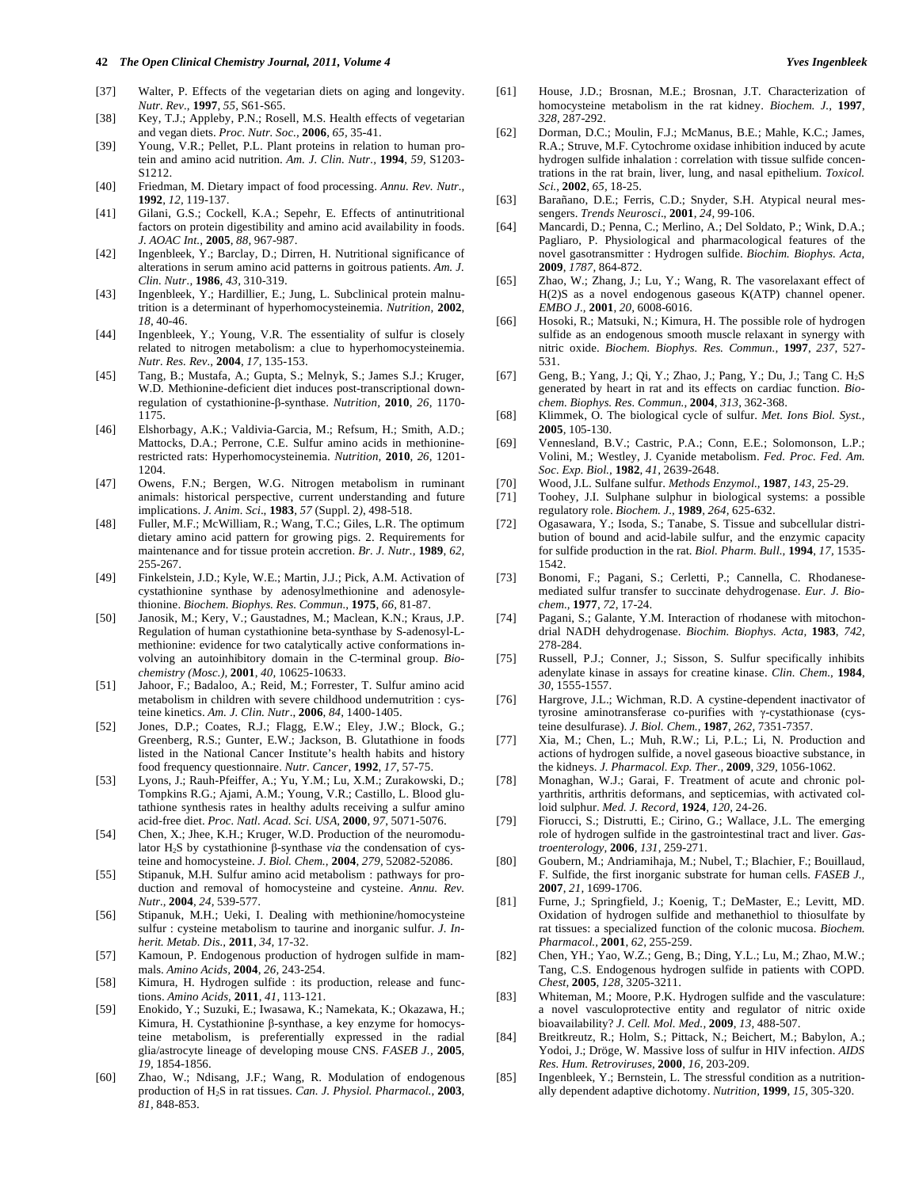#### **42** *The Open Clinical Chemistry Journal, 2011, Volume 4 Yves Ingenbleek*

- [38] Key, T.J.; Appleby, P.N.; Rosell, M.S. Health effects of vegetarian and vegan diets. *Proc. Nutr. Soc.,* **2006**, *65,* 35-41.
- [39] Young, V.R.; Pellet, P.L. Plant proteins in relation to human protein and amino acid nutrition. *Am. J. Clin. Nutr.,* **1994**, *59,* S1203- S1212.
- [40] Friedman, M. Dietary impact of food processing. *Annu. Rev. Nutr.,*  **1992**, *12,* 119-137.
- [41] Gilani, G.S.; Cockell, K.A.; Sepehr, E. Effects of antinutritional factors on protein digestibility and amino acid availability in foods. *J. AOAC Int.,* **2005**, *88,* 967-987.
- [42] Ingenbleek, Y.; Barclay, D.; Dirren, H. Nutritional significance of alterations in serum amino acid patterns in goitrous patients. *Am. J. Clin. Nutr.,* **1986**, *43,* 310-319.
- [43] Ingenbleek, Y.; Hardillier, E.; Jung, L. Subclinical protein malnutrition is a determinant of hyperhomocysteinemia. *Nutrition,* **2002**, *18*, 40-46.
- [44] Ingenbleek, Y.; Young, V.R. The essentiality of sulfur is closely related to nitrogen metabolism: a clue to hyperhomocysteinemia. *Nutr. Res. Rev.,* **2004**, *17*, 135-153.
- [45] Tang, B.; Mustafa, A.; Gupta, S.; Melnyk, S.; James S.J.; Kruger, W.D. Methionine-deficient diet induces post-transcriptional downregulation of cystathionine-β-synthase. *Nutrition*, 2010, 26, 1170-1175.
- [46] Elshorbagy, A.K.; Valdivia-Garcia, M.; Refsum, H.; Smith, A.D.; Mattocks, D.A.; Perrone, C.E. Sulfur amino acids in methioninerestricted rats: Hyperhomocysteinemia. *Nutrition,* **2010**, *26,* 1201- 1204.
- [47] Owens, F.N.; Bergen, W.G. Nitrogen metabolism in ruminant animals: historical perspective, current understanding and future implications. *J. Anim. Sci*., **1983**, *57* (Suppl. 2*)*, 498-518.
- [48] Fuller, M.F.; McWilliam, R.; Wang, T.C.; Giles, L.R. The optimum dietary amino acid pattern for growing pigs. 2. Requirements for maintenance and for tissue protein accretion. *Br. J. Nutr.,* **1989**, *62,* 255-267.
- [49] Finkelstein, J.D.; Kyle, W.E.; Martin, J.J.; Pick, A.M. Activation of cystathionine synthase by adenosylmethionine and adenosylethionine. *Biochem. Biophys. Res. Commun.,* **1975**, *66,* 81-87.
- [50] Janosik, M.; Kery, V.; Gaustadnes, M.; Maclean, K.N.; Kraus, J.P. Regulation of human cystathionine beta-synthase by S-adenosyl-Lmethionine: evidence for two catalytically active conformations involving an autoinhibitory domain in the C-terminal group. *Biochemistry (Mosc.),* **2001**, *40,* 10625-10633.
- [51] Jahoor, F.; Badaloo, A.; Reid, M.; Forrester, T. Sulfur amino acid metabolism in children with severe childhood undernutrition : cysteine kinetics. *Am. J. Clin. Nutr*., **2006**, *84,* 1400-1405.
- [52] Jones, D.P.; Coates, R.J.; Flagg, E.W.; Eley, J.W.; Block, G.; Greenberg, R.S.; Gunter, E.W.; Jackson, B. Glutathione in foods listed in the National Cancer Institute's health habits and history food frequency questionnaire. *Nutr. Cancer,* **1992**, *17,* 57-75.
- [53] Lyons, J.; Rauh-Pfeiffer, A.; Yu, Y.M.; Lu, X.M.; Zurakowski, D.; Tompkins R.G.; Ajami, A.M.; Young, V.R.; Castillo, L. Blood glutathione synthesis rates in healthy adults receiving a sulfur amino acid-free diet. *Proc. Natl. Acad. Sci. USA,* **2000**, *97*, 5071-5076.
- [54] Chen, X.; Jhee, K.H.; Kruger, W.D. Production of the neuromodulator H<sub>2</sub>S by cystathionine  $\beta$ -synthase *via* the condensation of cysteine and homocysteine. *J. Biol. Chem.,* **2004**, *279,* 52082-52086.
- [55] Stipanuk, M.H. Sulfur amino acid metabolism : pathways for production and removal of homocysteine and cysteine. *Annu. Rev. Nutr.,* **2004**, *24,* 539-577.
- [56] Stipanuk, M.H.; Ueki, I. Dealing with methionine/homocysteine sulfur : cysteine metabolism to taurine and inorganic sulfur. *J. Inherit. Metab. Dis.,* **2011**, *34,* 17-32.
- [57] Kamoun, P. Endogenous production of hydrogen sulfide in mammals. *Amino Acids,* **2004**, *26,* 243-254.
- [58] Kimura, H. Hydrogen sulfide : its production, release and functions. *Amino Acids,* **2011**, *41,* 113-121.
- [59] Enokido, Y.; Suzuki, E.; Iwasawa, K.; Namekata, K.; Okazawa, H.; Kimura, H. Cystathionine  $\beta$ -synthase, a key enzyme for homocysteine metabolism, is preferentially expressed in the radial glia/astrocyte lineage of developing mouse CNS. *FASEB J.,* **2005**, *19,* 1854-1856.
- [60] Zhao, W.; Ndisang, J.F.; Wang, R. Modulation of endogenous production of H2S in rat tissues. *Can. J. Physiol. Pharmacol.,* **2003**, *81,* 848-853.
- [61] House, J.D.; Brosnan, M.E.; Brosnan, J.T. Characterization of homocysteine metabolism in the rat kidney. *Biochem. J.,* **1997**, *328,* 287-292.
- [62] Dorman, D.C.; Moulin, F.J.; McManus, B.E.; Mahle, K.C.; James, R.A.; Struve, M.F. Cytochrome oxidase inhibition induced by acute hydrogen sulfide inhalation : correlation with tissue sulfide concentrations in the rat brain, liver, lung, and nasal epithelium. *Toxicol. Sci.,* **2002**, *65,* 18-25.
- [63] Barañano, D.E.; Ferris, C.D.; Snyder, S.H. Atypical neural messengers. *Trends Neurosci*., **2001**, *24,* 99-106.
- [64] Mancardi, D.; Penna, C.; Merlino, A.; Del Soldato, P.; Wink, D.A.; Pagliaro, P. Physiological and pharmacological features of the novel gasotransmitter : Hydrogen sulfide. *Biochim. Biophys. Acta,* **2009**, *1787,* 864-872.
- [65] Zhao, W.; Zhang, J.; Lu, Y.; Wang, R. The vasorelaxant effect of H(2)S as a novel endogenous gaseous K(ATP) channel opener. *EMBO J.,* **2001**, *20,* 6008-6016.
- [66] Hosoki, R.; Matsuki, N.; Kimura, H. The possible role of hydrogen sulfide as an endogenous smooth muscle relaxant in synergy with nitric oxide. *Biochem. Biophys. Res. Commun.,* **1997**, *237,* 527- 531.
- [67] Geng, B.; Yang, J.; Qi, Y.; Zhao, J.; Pang, Y.; Du, J.; Tang C. H2S generated by heart in rat and its effects on cardiac function. *Biochem. Biophys. Res. Commun.,* **2004**, *313,* 362-368.
- [68] Klimmek, O. The biological cycle of sulfur. *Met. Ions Biol. Syst.,* **2005***,* 105-130.
- [69] Vennesland, B.V.; Castric, P.A.; Conn, E.E.; Solomonson, L.P.; Volini, M.; Westley, J. Cyanide metabolism. *Fed. Proc. Fed. Am. Soc. Exp. Biol.,* **1982**, *41,* 2639-2648.
- [70] Wood, J.L. Sulfane sulfur. *Methods Enzymol.,* **1987**, *143,* 25-29.
- [71] Toohey, J.I. Sulphane sulphur in biological systems: a possible regulatory role. *Biochem. J.,* **1989***, 264,* 625-632.
- [72] Ogasawara, Y.; Isoda, S.; Tanabe, S. Tissue and subcellular distribution of bound and acid-labile sulfur, and the enzymic capacity for sulfide production in the rat. *Biol. Pharm. Bull.,* **1994**, *17,* 1535- 1542.
- [73] Bonomi, F.; Pagani, S.; Cerletti, P.; Cannella, C. Rhodanesemediated sulfur transfer to succinate dehydrogenase. *Eur. J. Biochem.,* **1977**, *72,* 17-24.
- [74] Pagani, S.; Galante, Y.M. Interaction of rhodanese with mitochondrial NADH dehydrogenase. *Biochim. Biophys. Acta,* **1983**, *742,* 278-284.
- [75] Russell, P.J.; Conner, J.; Sisson, S. Sulfur specifically inhibits adenylate kinase in assays for creatine kinase. *Clin. Chem.,* **1984**, *30,* 1555-1557.
- [76] Hargrove, J.L.; Wichman, R.D. A cystine-dependent inactivator of tyrosine aminotransferase co-purifies with  $\gamma$ -cystathionase (cysteine desulfurase). *J. Biol. Chem.,* **1987**, *262,* 7351-7357.
- [77] Xia, M.; Chen, L.; Muh, R.W.; Li, P.L.; Li, N. Production and actions of hydrogen sulfide, a novel gaseous bioactive substance, in the kidneys. *J. Pharmacol. Exp. Ther.,* **2009**, *329,* 1056-1062.
- [78] Monaghan, W.J.; Garai, F. Treatment of acute and chronic polyarthritis, arthritis deformans, and septicemias, with activated colloid sulphur. *Med. J. Record,* **1924**, *120,* 24-26.
- [79] Fiorucci, S.; Distrutti, E.; Cirino, G.; Wallace, J.L. The emerging role of hydrogen sulfide in the gastrointestinal tract and liver. *Gastroenterology,* **2006**, *131*, 259-271.
- [80] Goubern, M.; Andriamihaja, M.; Nubel, T.; Blachier, F.; Bouillaud, F. Sulfide, the first inorganic substrate for human cells. *FASEB J.,*  **2007**, *21,* 1699-1706.
- [81] Furne, J.; Springfield, J.; Koenig, T.; DeMaster, E.; Levitt, MD. Oxidation of hydrogen sulfide and methanethiol to thiosulfate by rat tissues: a specialized function of the colonic mucosa. *Biochem. Pharmacol.,* **2001**, *62,* 255-259.
- [82] Chen, YH.; Yao, W.Z.; Geng, B.; Ding, Y.L.; Lu, M.; Zhao, M.W.; Tang, C.S. Endogenous hydrogen sulfide in patients with COPD. *Chest,* **2005**, *128,* 3205-3211.
- [83] Whiteman, M.; Moore, P.K. Hydrogen sulfide and the vasculature: a novel vasculoprotective entity and regulator of nitric oxide bioavailability? *J. Cell. Mol. Med.,* **2009**, *13,* 488-507.
- [84] Breitkreutz, R.; Holm, S.; Pittack, N.; Beichert, M.; Babylon, A.; Yodoi, J.; Dröge, W. Massive loss of sulfur in HIV infection. *AIDS Res. Hum. Retroviruses,* **2000**, *16,* 203-209.
- [85] Ingenbleek, Y.; Bernstein, L. The stressful condition as a nutritionally dependent adaptive dichotomy. *Nutrition,* **1999**, *15,* 305-320.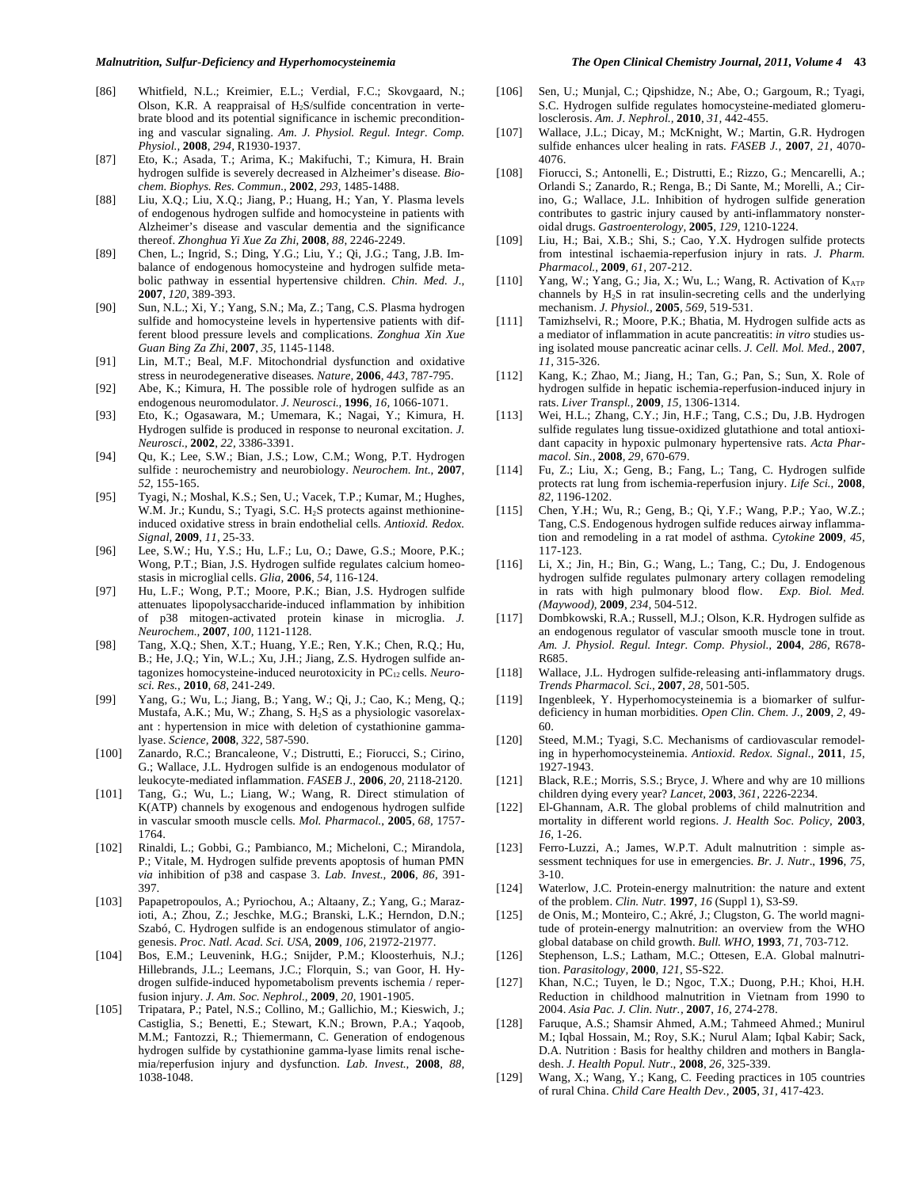- [86] Whitfield, N.L.; Kreimier, E.L.; Verdial, F.C.; Skovgaard, N.; Olson, K.R. A reappraisal of  $H<sub>2</sub>S/sulfide$  concentration in vertebrate blood and its potential significance in ischemic preconditioning and vascular signaling. *Am. J. Physiol. Regul. Integr. Comp. Physiol.,* **2008**, *294,* R1930-1937.
- [87] Eto, K.; Asada, T.; Arima, K.; Makifuchi, T.; Kimura, H. Brain hydrogen sulfide is severely decreased in Alzheimer's disease*. Biochem. Biophys. Res. Commun.,* **2002**, *293,* 1485-1488.
- [88] Liu, X.Q.; Liu, X.Q.; Jiang, P.; Huang, H.; Yan, Y. Plasma levels of endogenous hydrogen sulfide and homocysteine in patients with Alzheimer's disease and vascular dementia and the significance thereof. *Zhonghua Yi Xue Za Zhi,* **2008**, *88*, 2246-2249.
- [89] Chen, L.; Ingrid, S.; Ding, Y.G.; Liu, Y.; Qi, J.G.; Tang, J.B. Imbalance of endogenous homocysteine and hydrogen sulfide metabolic pathway in essential hypertensive children. *Chin. Med. J.,*  **2007**, *120,* 389-393.
- [90] Sun, N.L.; Xi, Y.; Yang, S.N.; Ma, Z.; Tang, C.S. Plasma hydrogen sulfide and homocysteine levels in hypertensive patients with different blood pressure levels and complications. *Zonghua Xin Xue Guan Bing Za Zhi*, **2007**, *35,* 1145-1148.
- [91] Lin, M.T.; Beal, M.F. Mitochondrial dysfunction and oxidative stress in neurodegenerative diseases*. Nature,* **2006**, *443,* 787-795.
- [92] Abe, K.; Kimura, H. The possible role of hydrogen sulfide as an endogenous neuromodulator. *J. Neurosci.,* **1996**, *16,* 1066-1071.
- [93] Eto, K.; Ogasawara, M.; Umemara, K.; Nagai, Y.; Kimura, H. Hydrogen sulfide is produced in response to neuronal excitation. *J. Neurosci.,* **2002**, *22,* 3386-3391.
- [94] Ou, K.; Lee, S.W.; Bian, J.S.; Low, C.M.; Wong, P.T. Hydrogen sulfide : neurochemistry and neurobiology. *Neurochem. Int.,* **2007**, *52*, 155-165.
- [95] Tyagi, N.; Moshal, K.S.; Sen, U.; Vacek, T.P.; Kumar, M.; Hughes, W.M. Jr.; Kundu, S.; Tyagi, S.C. H<sub>2</sub>S protects against methionineinduced oxidative stress in brain endothelial cells*. Antioxid. Redox. Signal,* **2009**, *11,* 25-33.
- [96] Lee, S.W.; Hu, Y.S.; Hu, L.F.; Lu, O.; Dawe, G.S.; Moore, P.K.; Wong, P.T.; Bian, J.S. Hydrogen sulfide regulates calcium homeostasis in microglial cells. *Glia,* **2006**, *54,* 116-124.
- [97] Hu, L.F.; Wong, P.T.; Moore, P.K.; Bian, J.S. Hydrogen sulfide attenuates lipopolysaccharide-induced inflammation by inhibition of p38 mitogen-activated protein kinase in microglia. *J. Neurochem.,* **2007**, *100,* 1121-1128.
- [98] Tang, X.Q.; Shen, X.T.; Huang, Y.E.; Ren, Y.K.; Chen, R.Q.; Hu, B.; He, J.Q.; Yin, W.L.; Xu, J.H.; Jiang, Z.S. Hydrogen sulfide antagonizes homocysteine-induced neurotoxicity in PC12 cells. *Neurosci. Res.,* **2010**, *68*, 241-249.
- [99] Yang, G.; Wu, L.; Jiang, B.; Yang, W.; Qi, J.; Cao, K.; Meng, Q.; Mustafa, A.K.; Mu, W.; Zhang, S. H<sub>2</sub>S as a physiologic vasorelaxant : hypertension in mice with deletion of cystathionine gammalyase. *Science,* **2008**, *322,* 587-590.
- [100] Zanardo, R.C.; Brancaleone, V.; Distrutti, E.; Fiorucci, S.; Cirino, G.; Wallace, J.L. Hydrogen sulfide is an endogenous modulator of leukocyte-mediated inflammation. *FASEB J.,* **2006***, 20,* 2118-2120.
- [101] Tang, G.; Wu, L.; Liang, W.; Wang, R. Direct stimulation of K(ATP) channels by exogenous and endogenous hydrogen sulfide in vascular smooth muscle cells*. Mol. Pharmacol.*, **2005**, *68,* 1757- 1764.
- [102] Rinaldi, L.; Gobbi, G.; Pambianco, M.; Micheloni, C.; Mirandola, P.; Vitale, M. Hydrogen sulfide prevents apoptosis of human PMN *via* inhibition of p38 and caspase 3. *Lab. Invest.,* **2006**, *86*, 391- 397.
- [103] Papapetropoulos, A.; Pyriochou, A.; Altaany, Z.; Yang, G.; Marazioti, A.; Zhou, Z.; Jeschke, M.G.; Branski, L.K.; Herndon, D.N.; Szabó, C. Hydrogen sulfide is an endogenous stimulator of angiogenesis. *Proc. Natl. Acad. Sci. USA,* **2009**, *106,* 21972-21977.
- [104] Bos, E.M.; Leuvenink, H.G.; Snijder, P.M.; Kloosterhuis, N.J.; Hillebrands, J.L.; Leemans, J.C.; Florquin, S.; van Goor, H. Hydrogen sulfide-induced hypometabolism prevents ischemia / reperfusion injury. *J. Am. Soc. Nephrol.,* **2009**, *20,* 1901-1905.
- [105] Tripatara, P.; Patel, N.S.; Collino, M.; Gallichio, M.; Kieswich, J.; Castiglia, S.; Benetti, E.; Stewart, K.N.; Brown, P.A.; Yaqoob, M.M.; Fantozzi, R.; Thiemermann, C. Generation of endogenous hydrogen sulfide by cystathionine gamma-lyase limits renal ischemia/reperfusion injury and dysfunction. *Lab. Invest.,* **2008**, *88,* 1038-1048.
- [106] Sen, U.; Munjal, C.; Qipshidze, N.; Abe, O.; Gargoum, R.; Tyagi, S.C. Hydrogen sulfide regulates homocysteine-mediated glomerulosclerosis. *Am. J. Nephrol.,* **2010**, *31,* 442-455.
- [107] Wallace, J.L.; Dicay, M.; McKnight, W.; Martin, G.R. Hydrogen sulfide enhances ulcer healing in rats. *FASEB J.,* **2007**, *21,* 4070- 4076.
- [108] Fiorucci, S.; Antonelli, E.; Distrutti, E.; Rizzo, G.; Mencarelli, A.; Orlandi S.; Zanardo, R.; Renga, B.; Di Sante, M.; Morelli, A.; Cirino, G.; Wallace, J.L. Inhibition of hydrogen sulfide generation contributes to gastric injury caused by anti-inflammatory nonsteroidal drugs. *Gastroenterology,* **2005**, *129,* 1210-1224.
- [109] Liu, H.; Bai, X.B.; Shi, S.; Cao, Y.X. Hydrogen sulfide protects from intestinal ischaemia-reperfusion injury in rats. *J. Pharm. Pharmacol.,* **2009**, *61,* 207-212.
- [110] Yang, W.; Yang, G.; Jia, X.; Wu, L.; Wang, R. Activation of  $K_{ATP}$ channels by  $H_2S$  in rat insulin-secreting cells and the underlying mechanism. *J. Physiol.,* **2005***, 569,* 519-531.
- [111] Tamizhselvi, R.; Moore, P.K.; Bhatia, M. Hydrogen sulfide acts as a mediator of inflammation in acute pancreatitis: *in vitro* studies using isolated mouse pancreatic acinar cells. *J. Cell. Mol. Med.,* **2007**, *11,* 315-326.
- [112] Kang, K.; Zhao, M.; Jiang, H.; Tan, G.; Pan, S.; Sun, X. Role of hydrogen sulfide in hepatic ischemia-reperfusion-induced injury in rats. *Liver Transpl.,* **2009**, *15,* 1306-1314.
- [113] Wei, H.L.; Zhang, C.Y.; Jin, H.F.; Tang, C.S.; Du, J.B. Hydrogen sulfide regulates lung tissue-oxidized glutathione and total antioxidant capacity in hypoxic pulmonary hypertensive rats. *Acta Pharmacol. Sin.,* **2008**, *29,* 670-679.
- [114] Fu, Z.; Liu, X.; Geng, B.; Fang, L.; Tang, C. Hydrogen sulfide protects rat lung from ischemia-reperfusion injury. *Life Sci.,* **2008**, *82,* 1196-1202.
- [115] Chen, Y.H.; Wu, R.; Geng, B.; Qi, Y.F.; Wang, P.P.; Yao, W.Z.; Tang, C.S. Endogenous hydrogen sulfide reduces airway inflammation and remodeling in a rat model of asthma. *Cytokine* **2009***, 45,* 117-123.
- [116] Li, X.; Jin, H.; Bin, G.; Wang, L.; Tang, C.; Du, J. Endogenous hydrogen sulfide regulates pulmonary artery collagen remodeling in rats with high pulmonary blood flow. *Exp. Biol. Med. (Maywood),* **2009**, *234,* 504-512.
- [117] Dombkowski, R.A.; Russell, M.J.; Olson, K.R. Hydrogen sulfide as an endogenous regulator of vascular smooth muscle tone in trout. *Am. J. Physiol. Regul. Integr. Comp. Physiol.,* **2004**, *286,* R678- R685.
- [118] Wallace, J.L. Hydrogen sulfide-releasing anti-inflammatory drugs. *Trends Pharmacol. Sci.,* **2007**, *28,* 501-505.
- [119] Ingenbleek, Y. Hyperhomocysteinemia is a biomarker of sulfurdeficiency in human morbidities. *Open Clin. Chem. J.,* **2009**, *2,* 49- 60.
- [120] Steed, M.M.; Tyagi, S.C. Mechanisms of cardiovascular remodeling in hyperhomocysteinemia. *Antioxid. Redox. Signal.,* **2011**, *15*, 1927-1943.
- [121] Black, R.E.; Morris, S.S.; Bryce, J. Where and why are 10 millions children dying every year? *Lancet,* 2**003**, *361,* 2226-2234.
- [122] El-Ghannam, A.R. The global problems of child malnutrition and mortality in different world regions. *J. Health Soc. Policy,* **2003**, *16,* 1-26.
- [123] Ferro-Luzzi, A.; James, W.P.T. Adult malnutrition : simple assessment techniques for use in emergencies. *Br. J. Nutr*., **1996**, *75,* 3-10.
- [124] Waterlow, J.C. Protein-energy malnutrition: the nature and extent of the problem. *Clin. Nutr.* **1997**, *16* (Suppl 1)*,* S3-S9.
- [125] de Onis, M.; Monteiro, C.; Akré, J.; Clugston, G. The world magnitude of protein-energy malnutrition: an overview from the WHO global database on child growth. *Bull. WHO,* **1993**, *71,* 703-712.
- [126] Stephenson, L.S.; Latham, M.C.; Ottesen, E.A. Global malnutrition. *Parasitology,* **2000**, *121,* S5-S22.
- [127] Khan, N.C.; Tuyen, le D.; Ngoc, T.X.; Duong, P.H.; Khoi, H.H. Reduction in childhood malnutrition in Vietnam from 1990 to 2004. *Asia Pac. J. Clin. Nutr.,* **2007**, *16,* 274-278.
- [128] Faruque, A.S.; Shamsir Ahmed, A.M.; Tahmeed Ahmed.; Munirul M.; Iqbal Hossain, M.; Roy, S.K.; Nurul Alam; Iqbal Kabir; Sack, D.A. Nutrition : Basis for healthy children and mothers in Bangladesh. *J. Health Popul. Nutr*., **2008**, *26,* 325-339.
- [129] Wang, X.; Wang, Y.; Kang, C. Feeding practices in 105 countries of rural China. *Child Care Health Dev.,* **2005**, *31,* 417-423.